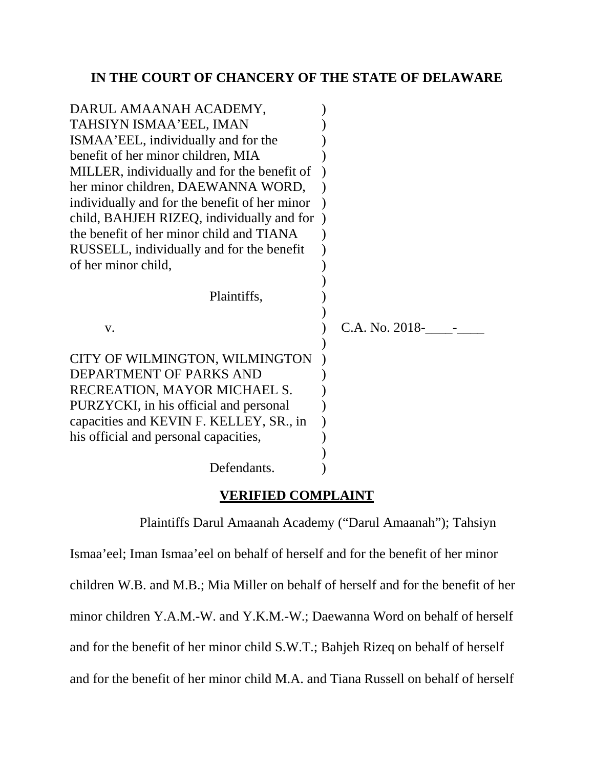### **IN THE COURT OF CHANCERY OF THE STATE OF DELAWARE**

| DARUL AMAANAH ACADEMY,                        |                |
|-----------------------------------------------|----------------|
| TAHSIYN ISMAA'EEL, IMAN                       |                |
| ISMAA'EEL, individually and for the           |                |
| benefit of her minor children, MIA            |                |
| MILLER, individually and for the benefit of   |                |
| her minor children, DAEWANNA WORD,            |                |
| individually and for the benefit of her minor |                |
| child, BAHJEH RIZEQ, individually and for     |                |
| the benefit of her minor child and TIANA      |                |
| RUSSELL, individually and for the benefit     |                |
| of her minor child,                           |                |
|                                               |                |
| Plaintiffs,                                   |                |
|                                               |                |
| V.                                            | C.A. No. 2018- |
|                                               |                |
| CITY OF WILMINGTON, WILMINGTON                |                |
| DEPARTMENT OF PARKS AND                       |                |
| RECREATION, MAYOR MICHAEL S.                  |                |
| PURZYCKI, in his official and personal        |                |
| capacities and KEVIN F. KELLEY, SR., in       |                |
|                                               |                |
| his official and personal capacities,         |                |
| Defendants.                                   |                |

### **VERIFIED COMPLAINT**

Plaintiffs Darul Amaanah Academy ("Darul Amaanah"); Tahsiyn Ismaa'eel; Iman Ismaa'eel on behalf of herself and for the benefit of her minor children W.B. and M.B.; Mia Miller on behalf of herself and for the benefit of her minor children Y.A.M.-W. and Y.K.M.-W.; Daewanna Word on behalf of herself and for the benefit of her minor child S.W.T.; Bahjeh Rizeq on behalf of herself and for the benefit of her minor child M.A. and Tiana Russell on behalf of herself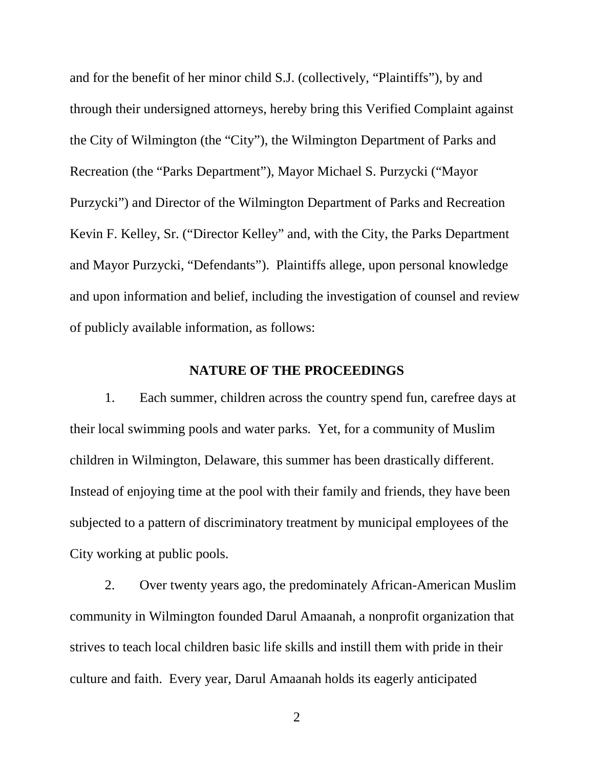and for the benefit of her minor child S.J. (collectively, "Plaintiffs"), by and through their undersigned attorneys, hereby bring this Verified Complaint against the City of Wilmington (the "City"), the Wilmington Department of Parks and Recreation (the "Parks Department"), Mayor Michael S. Purzycki ("Mayor Purzycki") and Director of the Wilmington Department of Parks and Recreation Kevin F. Kelley, Sr. ("Director Kelley" and, with the City, the Parks Department and Mayor Purzycki, "Defendants"). Plaintiffs allege, upon personal knowledge and upon information and belief, including the investigation of counsel and review of publicly available information, as follows:

### **NATURE OF THE PROCEEDINGS**

1. Each summer, children across the country spend fun, carefree days at their local swimming pools and water parks. Yet, for a community of Muslim children in Wilmington, Delaware, this summer has been drastically different. Instead of enjoying time at the pool with their family and friends, they have been subjected to a pattern of discriminatory treatment by municipal employees of the City working at public pools.

2. Over twenty years ago, the predominately African-American Muslim community in Wilmington founded Darul Amaanah, a nonprofit organization that strives to teach local children basic life skills and instill them with pride in their culture and faith. Every year, Darul Amaanah holds its eagerly anticipated

<sup>2</sup>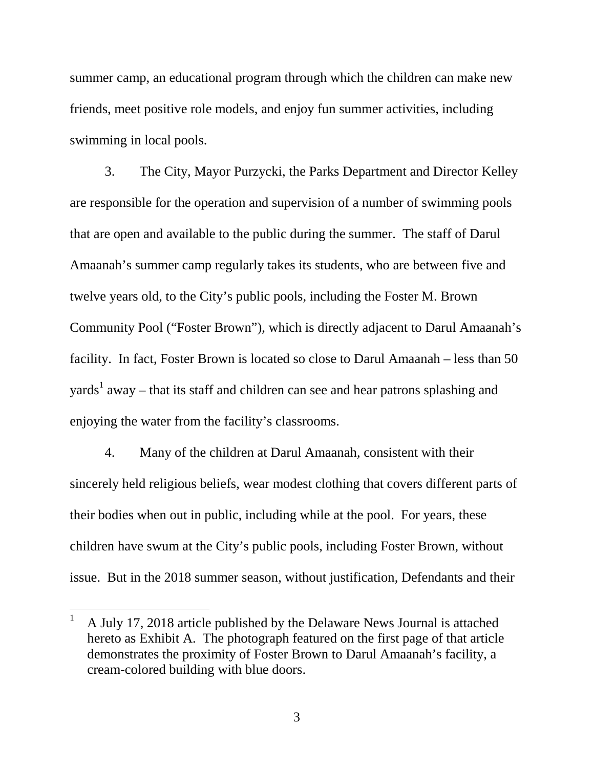summer camp, an educational program through which the children can make new friends, meet positive role models, and enjoy fun summer activities, including swimming in local pools.

3. The City, Mayor Purzycki, the Parks Department and Director Kelley are responsible for the operation and supervision of a number of swimming pools that are open and available to the public during the summer. The staff of Darul Amaanah's summer camp regularly takes its students, who are between five and twelve years old, to the City's public pools, including the Foster M. Brown Community Pool ("Foster Brown"), which is directly adjacent to Darul Amaanah's facility. In fact, Foster Brown is located so close to Darul Amaanah – less than 50 yards<sup>1</sup> away – that its staff and children can see and hear patrons splashing and enjoying the water from the facility's classrooms.

4. Many of the children at Darul Amaanah, consistent with their sincerely held religious beliefs, wear modest clothing that covers different parts of their bodies when out in public, including while at the pool. For years, these children have swum at the City's public pools, including Foster Brown, without issue. But in the 2018 summer season, without justification, Defendants and their

<sup>1</sup> A July 17, 2018 article published by the Delaware News Journal is attached hereto as Exhibit A. The photograph featured on the first page of that article demonstrates the proximity of Foster Brown to Darul Amaanah's facility, a cream-colored building with blue doors.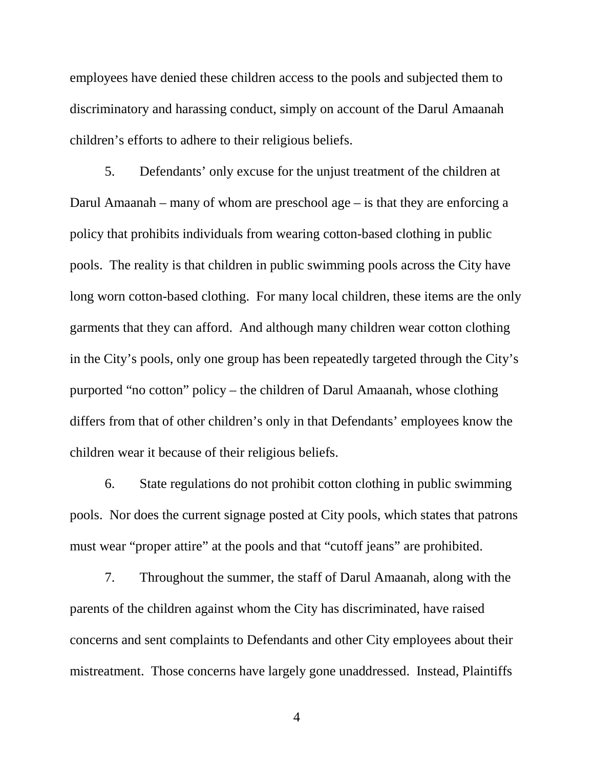employees have denied these children access to the pools and subjected them to discriminatory and harassing conduct, simply on account of the Darul Amaanah children's efforts to adhere to their religious beliefs.

5. Defendants' only excuse for the unjust treatment of the children at Darul Amaanah – many of whom are preschool age – is that they are enforcing a policy that prohibits individuals from wearing cotton-based clothing in public pools. The reality is that children in public swimming pools across the City have long worn cotton-based clothing. For many local children, these items are the only garments that they can afford. And although many children wear cotton clothing in the City's pools, only one group has been repeatedly targeted through the City's purported "no cotton" policy – the children of Darul Amaanah, whose clothing differs from that of other children's only in that Defendants' employees know the children wear it because of their religious beliefs.

6. State regulations do not prohibit cotton clothing in public swimming pools. Nor does the current signage posted at City pools, which states that patrons must wear "proper attire" at the pools and that "cutoff jeans" are prohibited.

7. Throughout the summer, the staff of Darul Amaanah, along with the parents of the children against whom the City has discriminated, have raised concerns and sent complaints to Defendants and other City employees about their mistreatment. Those concerns have largely gone unaddressed. Instead, Plaintiffs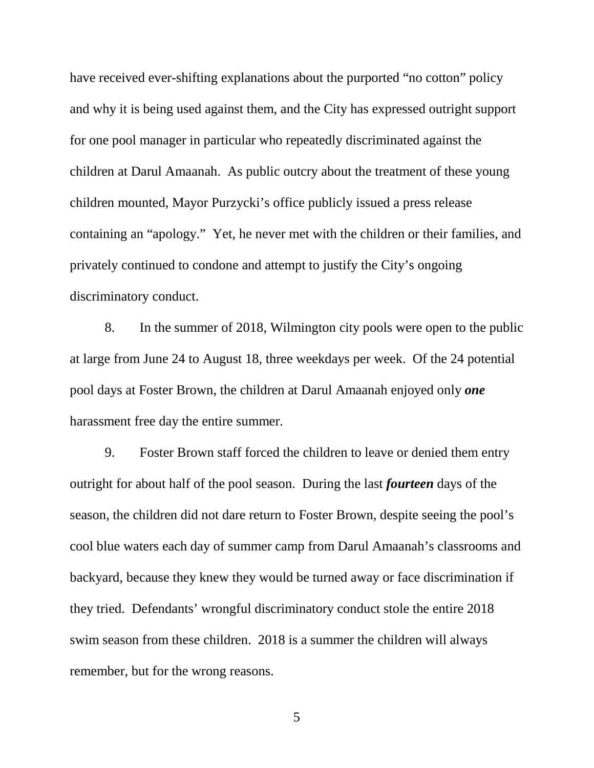have received ever-shifting explanations about the purported "no cotton" policy and why it is being used against them, and the City has expressed outright support for one pool manager in particular who repeatedly discriminated against the children at Darul Amaanah. As public outcry about the treatment of these young children mounted, Mayor Purzycki's office publicly issued a press release containing an "apology." Yet, he never met with the children or their families, and privately continued to condone and attempt to justify the City's ongoing discriminatory conduct.

8. In the summer of 2018, Wilmington city pools were open to the public at large from June 24 to August 18, three weekdays per week. Of the 24 potential pool days at Foster Brown, the children at Darul Amaanah enjoyed only *one* harassment free day the entire summer.

9. Foster Brown staff forced the children to leave or denied them entry outright for about half of the pool season. During the last *fourteen* days of the season, the children did not dare return to Foster Brown, despite seeing the pool's cool blue waters each day of summer camp from Darul Amaanah's classrooms and backyard, because they knew they would be turned away or face discrimination if they tried. Defendants' wrongful discriminatory conduct stole the entire 2018 swim season from these children. 2018 is a summer the children will always remember, but for the wrong reasons.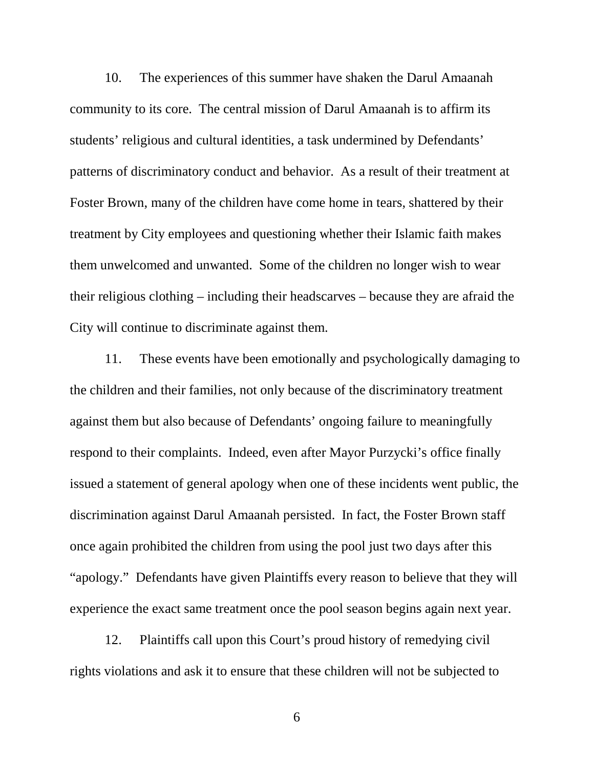10. The experiences of this summer have shaken the Darul Amaanah community to its core. The central mission of Darul Amaanah is to affirm its students' religious and cultural identities, a task undermined by Defendants' patterns of discriminatory conduct and behavior. As a result of their treatment at Foster Brown, many of the children have come home in tears, shattered by their treatment by City employees and questioning whether their Islamic faith makes them unwelcomed and unwanted. Some of the children no longer wish to wear their religious clothing – including their headscarves – because they are afraid the City will continue to discriminate against them.

11. These events have been emotionally and psychologically damaging to the children and their families, not only because of the discriminatory treatment against them but also because of Defendants' ongoing failure to meaningfully respond to their complaints. Indeed, even after Mayor Purzycki's office finally issued a statement of general apology when one of these incidents went public, the discrimination against Darul Amaanah persisted. In fact, the Foster Brown staff once again prohibited the children from using the pool just two days after this "apology." Defendants have given Plaintiffs every reason to believe that they will experience the exact same treatment once the pool season begins again next year.

12. Plaintiffs call upon this Court's proud history of remedying civil rights violations and ask it to ensure that these children will not be subjected to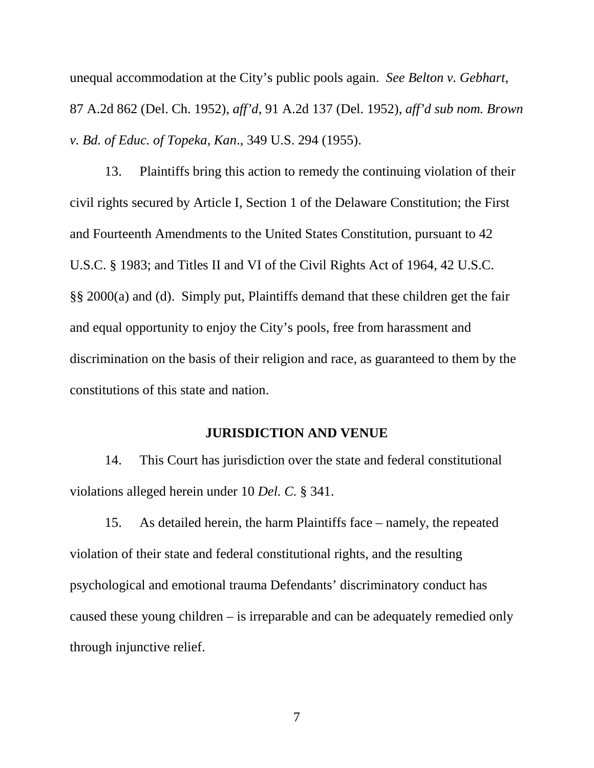unequal accommodation at the City's public pools again. *See Belton v. Gebhart*, 87 A.2d 862 (Del. Ch. 1952), *aff'd*, 91 A.2d 137 (Del. 1952), *aff'd sub nom. Brown v. Bd. of Educ. of Topeka, Kan*., 349 U.S. 294 (1955).

13. Plaintiffs bring this action to remedy the continuing violation of their civil rights secured by Article I, Section 1 of the Delaware Constitution; the First and Fourteenth Amendments to the United States Constitution, pursuant to 42 U.S.C. § 1983; and Titles II and VI of the Civil Rights Act of 1964, 42 U.S.C. §§ 2000(a) and (d). Simply put, Plaintiffs demand that these children get the fair and equal opportunity to enjoy the City's pools, free from harassment and discrimination on the basis of their religion and race, as guaranteed to them by the constitutions of this state and nation.

#### **JURISDICTION AND VENUE**

14. This Court has jurisdiction over the state and federal constitutional violations alleged herein under 10 *Del. C.* § 341.

15. As detailed herein, the harm Plaintiffs face – namely, the repeated violation of their state and federal constitutional rights, and the resulting psychological and emotional trauma Defendants' discriminatory conduct has caused these young children – is irreparable and can be adequately remedied only through injunctive relief.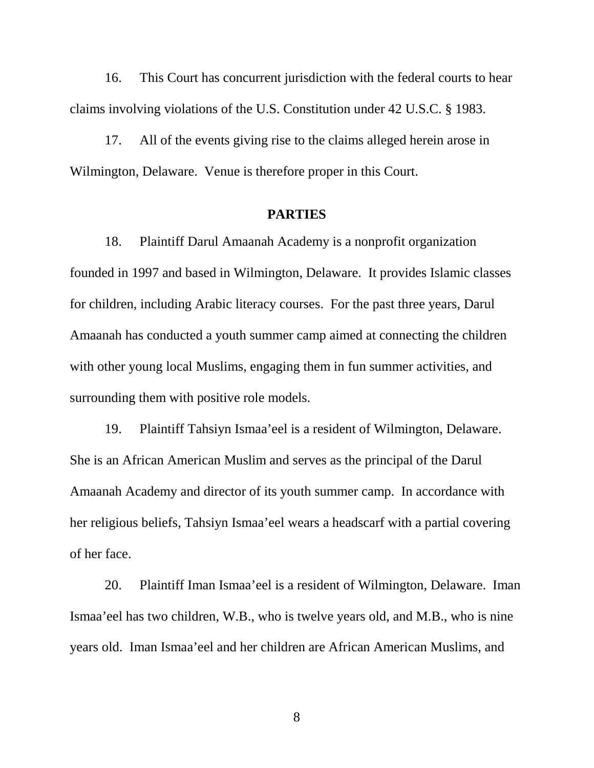16. This Court has concurrent jurisdiction with the federal courts to hear claims involving violations of the U.S. Constitution under 42 U.S.C. § 1983.

17. All of the events giving rise to the claims alleged herein arose in Wilmington, Delaware. Venue is therefore proper in this Court.

### **PARTIES**

18. Plaintiff Darul Amaanah Academy is a nonprofit organization founded in 1997 and based in Wilmington, Delaware. It provides Islamic classes for children, including Arabic literacy courses. For the past three years, Darul Amaanah has conducted a youth summer camp aimed at connecting the children with other young local Muslims, engaging them in fun summer activities, and surrounding them with positive role models.

19. Plaintiff Tahsiyn Ismaa'eel is a resident of Wilmington, Delaware. She is an African American Muslim and serves as the principal of the Darul Amaanah Academy and director of its youth summer camp. In accordance with her religious beliefs, Tahsiyn Ismaa'eel wears a headscarf with a partial covering of her face.

20. Plaintiff Iman Ismaa'eel is a resident of Wilmington, Delaware. Iman Ismaa'eel has two children, W.B., who is twelve years old, and M.B., who is nine years old. Iman Ismaa'eel and her children are African American Muslims, and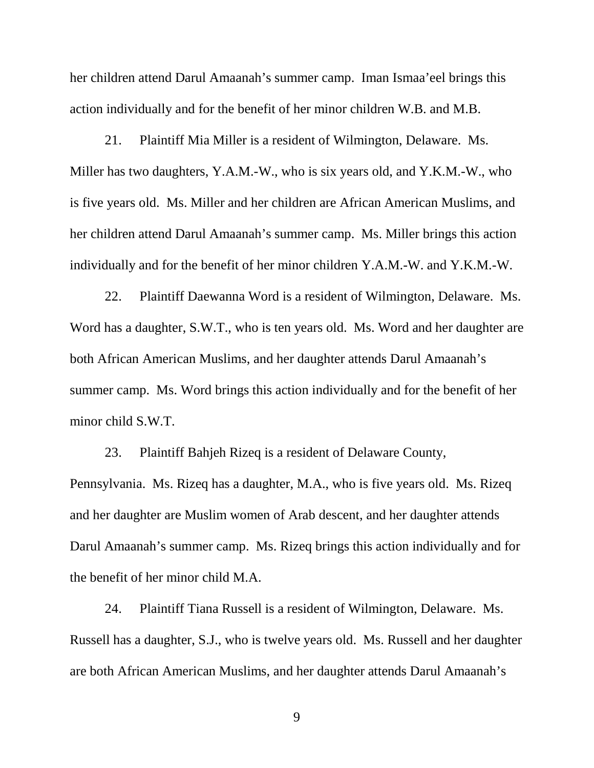her children attend Darul Amaanah's summer camp. Iman Ismaa'eel brings this action individually and for the benefit of her minor children W.B. and M.B.

21. Plaintiff Mia Miller is a resident of Wilmington, Delaware. Ms. Miller has two daughters, Y.A.M.-W., who is six years old, and Y.K.M.-W., who is five years old. Ms. Miller and her children are African American Muslims, and her children attend Darul Amaanah's summer camp. Ms. Miller brings this action individually and for the benefit of her minor children Y.A.M.-W. and Y.K.M.-W.

22. Plaintiff Daewanna Word is a resident of Wilmington, Delaware. Ms. Word has a daughter, S.W.T., who is ten years old. Ms. Word and her daughter are both African American Muslims, and her daughter attends Darul Amaanah's summer camp. Ms. Word brings this action individually and for the benefit of her minor child S.W.T.

23. Plaintiff Bahjeh Rizeq is a resident of Delaware County, Pennsylvania. Ms. Rizeq has a daughter, M.A., who is five years old. Ms. Rizeq and her daughter are Muslim women of Arab descent, and her daughter attends Darul Amaanah's summer camp. Ms. Rizeq brings this action individually and for the benefit of her minor child M.A.

24. Plaintiff Tiana Russell is a resident of Wilmington, Delaware. Ms. Russell has a daughter, S.J., who is twelve years old. Ms. Russell and her daughter are both African American Muslims, and her daughter attends Darul Amaanah's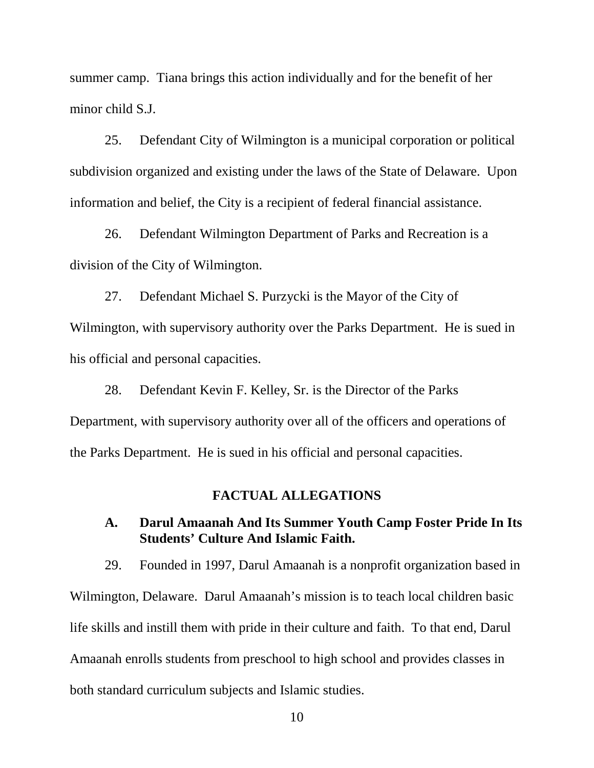summer camp. Tiana brings this action individually and for the benefit of her minor child S.J.

25. Defendant City of Wilmington is a municipal corporation or political subdivision organized and existing under the laws of the State of Delaware. Upon information and belief, the City is a recipient of federal financial assistance.

26. Defendant Wilmington Department of Parks and Recreation is a division of the City of Wilmington.

27. Defendant Michael S. Purzycki is the Mayor of the City of Wilmington, with supervisory authority over the Parks Department. He is sued in his official and personal capacities.

28. Defendant Kevin F. Kelley, Sr. is the Director of the Parks Department, with supervisory authority over all of the officers and operations of the Parks Department. He is sued in his official and personal capacities.

#### **FACTUAL ALLEGATIONS**

### **A. Darul Amaanah And Its Summer Youth Camp Foster Pride In Its Students' Culture And Islamic Faith.**

29. Founded in 1997, Darul Amaanah is a nonprofit organization based in Wilmington, Delaware. Darul Amaanah's mission is to teach local children basic life skills and instill them with pride in their culture and faith. To that end, Darul Amaanah enrolls students from preschool to high school and provides classes in both standard curriculum subjects and Islamic studies.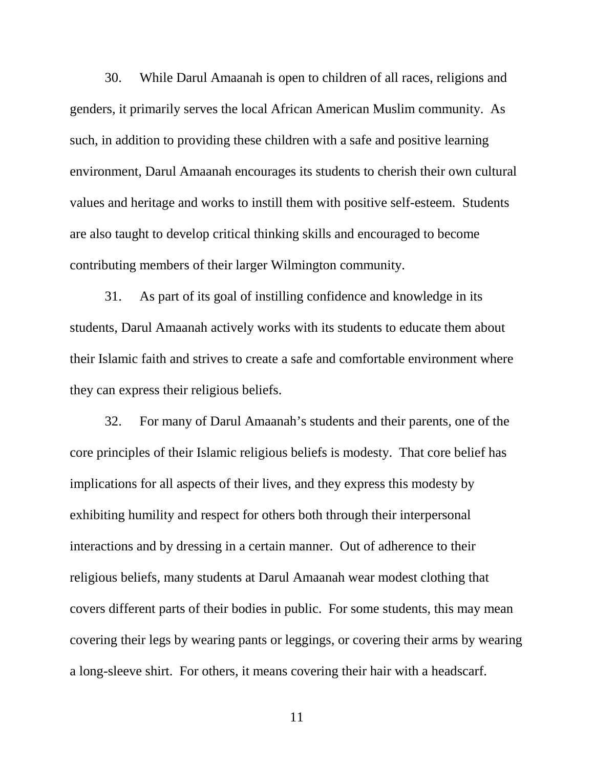30. While Darul Amaanah is open to children of all races, religions and genders, it primarily serves the local African American Muslim community. As such, in addition to providing these children with a safe and positive learning environment, Darul Amaanah encourages its students to cherish their own cultural values and heritage and works to instill them with positive self-esteem. Students are also taught to develop critical thinking skills and encouraged to become contributing members of their larger Wilmington community.

31. As part of its goal of instilling confidence and knowledge in its students, Darul Amaanah actively works with its students to educate them about their Islamic faith and strives to create a safe and comfortable environment where they can express their religious beliefs.

32. For many of Darul Amaanah's students and their parents, one of the core principles of their Islamic religious beliefs is modesty. That core belief has implications for all aspects of their lives, and they express this modesty by exhibiting humility and respect for others both through their interpersonal interactions and by dressing in a certain manner. Out of adherence to their religious beliefs, many students at Darul Amaanah wear modest clothing that covers different parts of their bodies in public. For some students, this may mean covering their legs by wearing pants or leggings, or covering their arms by wearing a long-sleeve shirt. For others, it means covering their hair with a headscarf.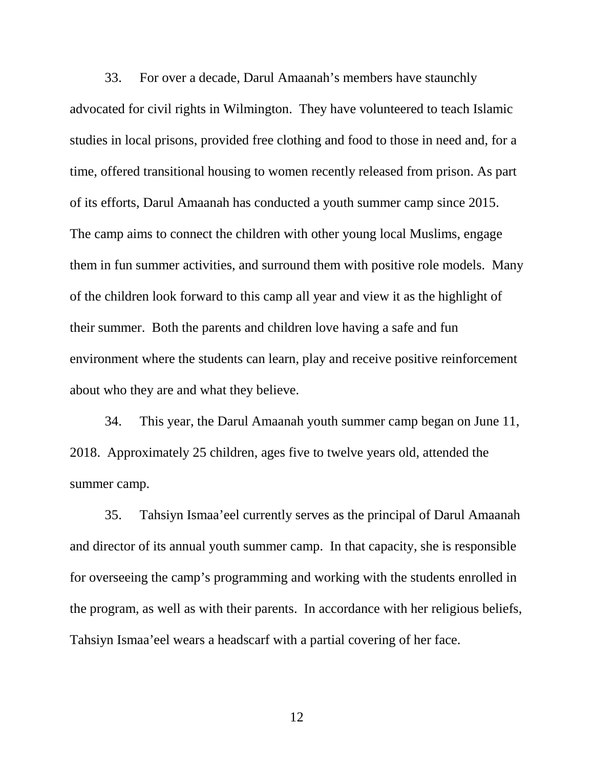33. For over a decade, Darul Amaanah's members have staunchly advocated for civil rights in Wilmington. They have volunteered to teach Islamic studies in local prisons, provided free clothing and food to those in need and, for a time, offered transitional housing to women recently released from prison. As part of its efforts, Darul Amaanah has conducted a youth summer camp since 2015. The camp aims to connect the children with other young local Muslims, engage them in fun summer activities, and surround them with positive role models. Many of the children look forward to this camp all year and view it as the highlight of their summer. Both the parents and children love having a safe and fun environment where the students can learn, play and receive positive reinforcement about who they are and what they believe.

34. This year, the Darul Amaanah youth summer camp began on June 11, 2018. Approximately 25 children, ages five to twelve years old, attended the summer camp.

35. Tahsiyn Ismaa'eel currently serves as the principal of Darul Amaanah and director of its annual youth summer camp. In that capacity, she is responsible for overseeing the camp's programming and working with the students enrolled in the program, as well as with their parents. In accordance with her religious beliefs, Tahsiyn Ismaa'eel wears a headscarf with a partial covering of her face.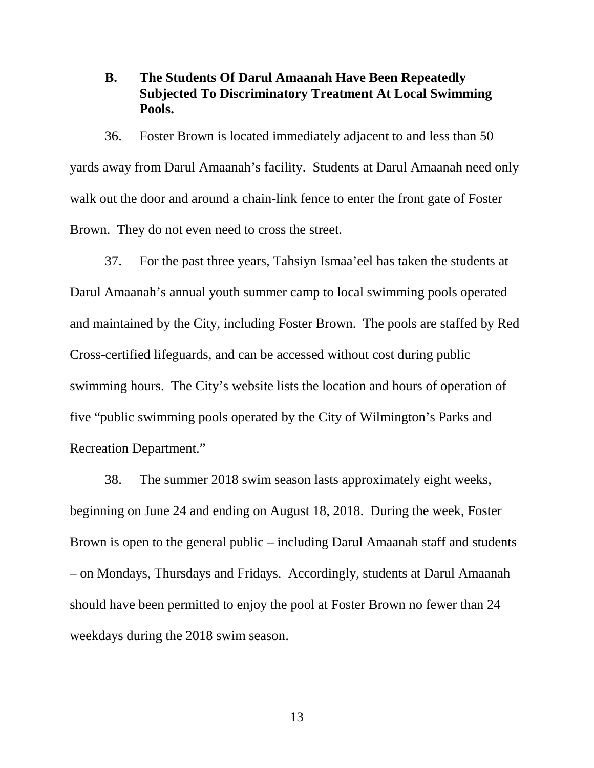### **B. The Students Of Darul Amaanah Have Been Repeatedly Subjected To Discriminatory Treatment At Local Swimming Pools.**

36. Foster Brown is located immediately adjacent to and less than 50 yards away from Darul Amaanah's facility. Students at Darul Amaanah need only walk out the door and around a chain-link fence to enter the front gate of Foster Brown. They do not even need to cross the street.

37. For the past three years, Tahsiyn Ismaa'eel has taken the students at Darul Amaanah's annual youth summer camp to local swimming pools operated and maintained by the City, including Foster Brown. The pools are staffed by Red Cross-certified lifeguards, and can be accessed without cost during public swimming hours. The City's website lists the location and hours of operation of five "public swimming pools operated by the City of Wilmington's Parks and Recreation Department."

38. The summer 2018 swim season lasts approximately eight weeks, beginning on June 24 and ending on August 18, 2018. During the week, Foster Brown is open to the general public – including Darul Amaanah staff and students – on Mondays, Thursdays and Fridays. Accordingly, students at Darul Amaanah should have been permitted to enjoy the pool at Foster Brown no fewer than 24 weekdays during the 2018 swim season.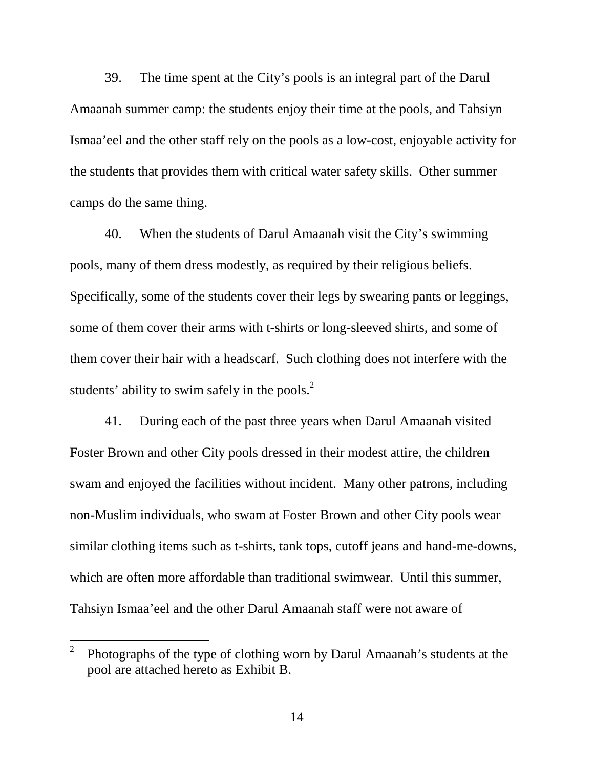39. The time spent at the City's pools is an integral part of the Darul Amaanah summer camp: the students enjoy their time at the pools, and Tahsiyn Ismaa'eel and the other staff rely on the pools as a low-cost, enjoyable activity for the students that provides them with critical water safety skills. Other summer camps do the same thing.

40. When the students of Darul Amaanah visit the City's swimming pools, many of them dress modestly, as required by their religious beliefs. Specifically, some of the students cover their legs by swearing pants or leggings, some of them cover their arms with t-shirts or long-sleeved shirts, and some of them cover their hair with a headscarf. Such clothing does not interfere with the students' ability to swim safely in the pools. $<sup>2</sup>$ </sup>

41. During each of the past three years when Darul Amaanah visited Foster Brown and other City pools dressed in their modest attire, the children swam and enjoyed the facilities without incident. Many other patrons, including non-Muslim individuals, who swam at Foster Brown and other City pools wear similar clothing items such as t-shirts, tank tops, cutoff jeans and hand-me-downs, which are often more affordable than traditional swimwear. Until this summer, Tahsiyn Ismaa'eel and the other Darul Amaanah staff were not aware of

<sup>2</sup> Photographs of the type of clothing worn by Darul Amaanah's students at the pool are attached hereto as Exhibit B.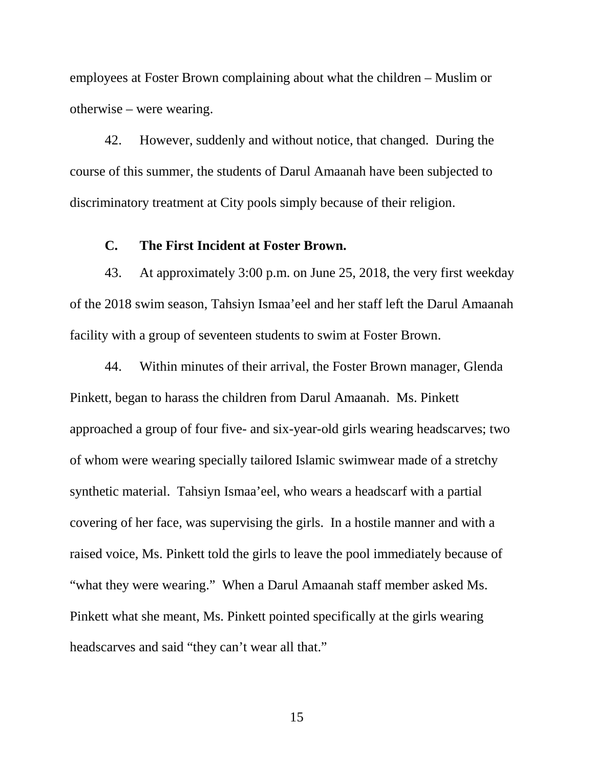employees at Foster Brown complaining about what the children – Muslim or otherwise – were wearing.

42. However, suddenly and without notice, that changed. During the course of this summer, the students of Darul Amaanah have been subjected to discriminatory treatment at City pools simply because of their religion.

### **C. The First Incident at Foster Brown.**

43. At approximately 3:00 p.m. on June 25, 2018, the very first weekday of the 2018 swim season, Tahsiyn Ismaa'eel and her staff left the Darul Amaanah facility with a group of seventeen students to swim at Foster Brown.

44. Within minutes of their arrival, the Foster Brown manager, Glenda Pinkett, began to harass the children from Darul Amaanah. Ms. Pinkett approached a group of four five- and six-year-old girls wearing headscarves; two of whom were wearing specially tailored Islamic swimwear made of a stretchy synthetic material. Tahsiyn Ismaa'eel, who wears a headscarf with a partial covering of her face, was supervising the girls. In a hostile manner and with a raised voice, Ms. Pinkett told the girls to leave the pool immediately because of "what they were wearing." When a Darul Amaanah staff member asked Ms. Pinkett what she meant, Ms. Pinkett pointed specifically at the girls wearing headscarves and said "they can't wear all that."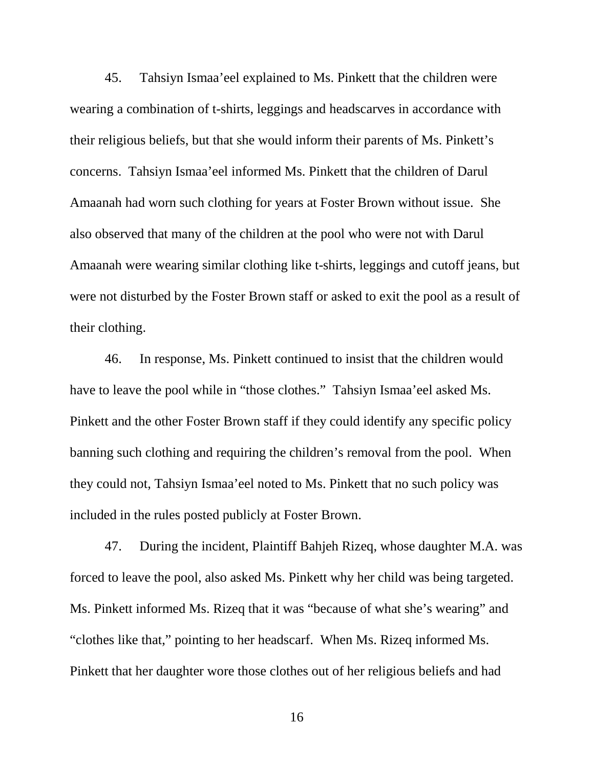45. Tahsiyn Ismaa'eel explained to Ms. Pinkett that the children were wearing a combination of t-shirts, leggings and headscarves in accordance with their religious beliefs, but that she would inform their parents of Ms. Pinkett's concerns. Tahsiyn Ismaa'eel informed Ms. Pinkett that the children of Darul Amaanah had worn such clothing for years at Foster Brown without issue. She also observed that many of the children at the pool who were not with Darul Amaanah were wearing similar clothing like t-shirts, leggings and cutoff jeans, but were not disturbed by the Foster Brown staff or asked to exit the pool as a result of their clothing.

46. In response, Ms. Pinkett continued to insist that the children would have to leave the pool while in "those clothes." Tahsiyn Ismaa'eel asked Ms. Pinkett and the other Foster Brown staff if they could identify any specific policy banning such clothing and requiring the children's removal from the pool. When they could not, Tahsiyn Ismaa'eel noted to Ms. Pinkett that no such policy was included in the rules posted publicly at Foster Brown.

47. During the incident, Plaintiff Bahjeh Rizeq, whose daughter M.A. was forced to leave the pool, also asked Ms. Pinkett why her child was being targeted. Ms. Pinkett informed Ms. Rizeq that it was "because of what she's wearing" and "clothes like that," pointing to her headscarf. When Ms. Rizeq informed Ms. Pinkett that her daughter wore those clothes out of her religious beliefs and had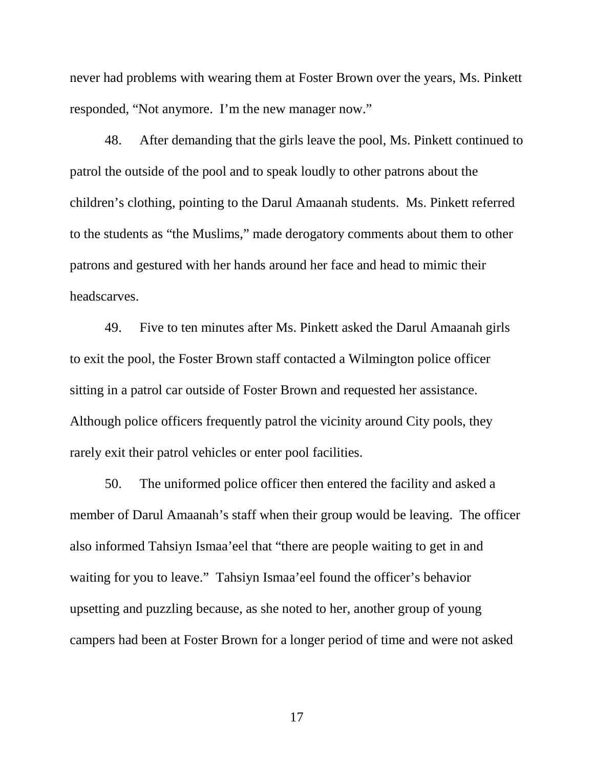never had problems with wearing them at Foster Brown over the years, Ms. Pinkett responded, "Not anymore. I'm the new manager now."

48. After demanding that the girls leave the pool, Ms. Pinkett continued to patrol the outside of the pool and to speak loudly to other patrons about the children's clothing, pointing to the Darul Amaanah students. Ms. Pinkett referred to the students as "the Muslims," made derogatory comments about them to other patrons and gestured with her hands around her face and head to mimic their headscarves.

49. Five to ten minutes after Ms. Pinkett asked the Darul Amaanah girls to exit the pool, the Foster Brown staff contacted a Wilmington police officer sitting in a patrol car outside of Foster Brown and requested her assistance. Although police officers frequently patrol the vicinity around City pools, they rarely exit their patrol vehicles or enter pool facilities.

50. The uniformed police officer then entered the facility and asked a member of Darul Amaanah's staff when their group would be leaving. The officer also informed Tahsiyn Ismaa'eel that "there are people waiting to get in and waiting for you to leave." Tahsiyn Ismaa'eel found the officer's behavior upsetting and puzzling because, as she noted to her, another group of young campers had been at Foster Brown for a longer period of time and were not asked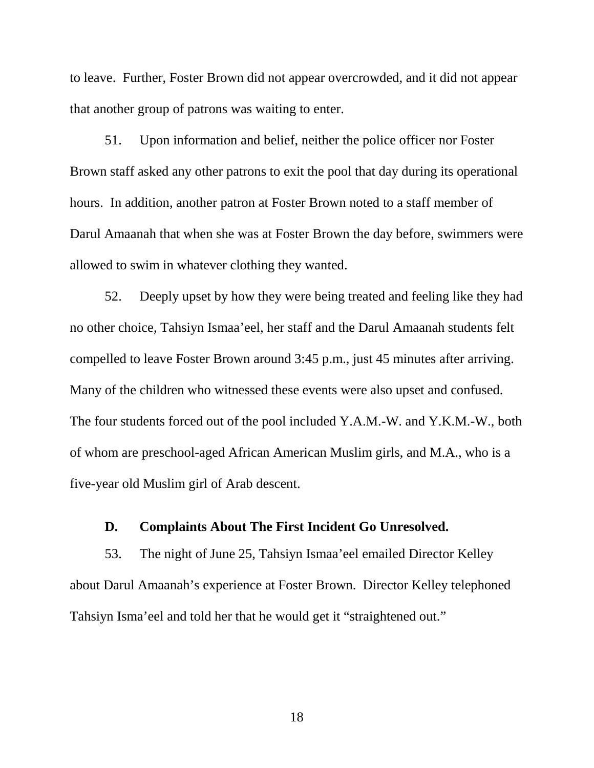to leave. Further, Foster Brown did not appear overcrowded, and it did not appear that another group of patrons was waiting to enter.

51. Upon information and belief, neither the police officer nor Foster Brown staff asked any other patrons to exit the pool that day during its operational hours. In addition, another patron at Foster Brown noted to a staff member of Darul Amaanah that when she was at Foster Brown the day before, swimmers were allowed to swim in whatever clothing they wanted.

52. Deeply upset by how they were being treated and feeling like they had no other choice, Tahsiyn Ismaa'eel, her staff and the Darul Amaanah students felt compelled to leave Foster Brown around 3:45 p.m., just 45 minutes after arriving. Many of the children who witnessed these events were also upset and confused. The four students forced out of the pool included Y.A.M.-W. and Y.K.M.-W., both of whom are preschool-aged African American Muslim girls, and M.A., who is a five-year old Muslim girl of Arab descent.

#### **D. Complaints About The First Incident Go Unresolved.**

53. The night of June 25, Tahsiyn Ismaa'eel emailed Director Kelley about Darul Amaanah's experience at Foster Brown. Director Kelley telephoned Tahsiyn Isma'eel and told her that he would get it "straightened out."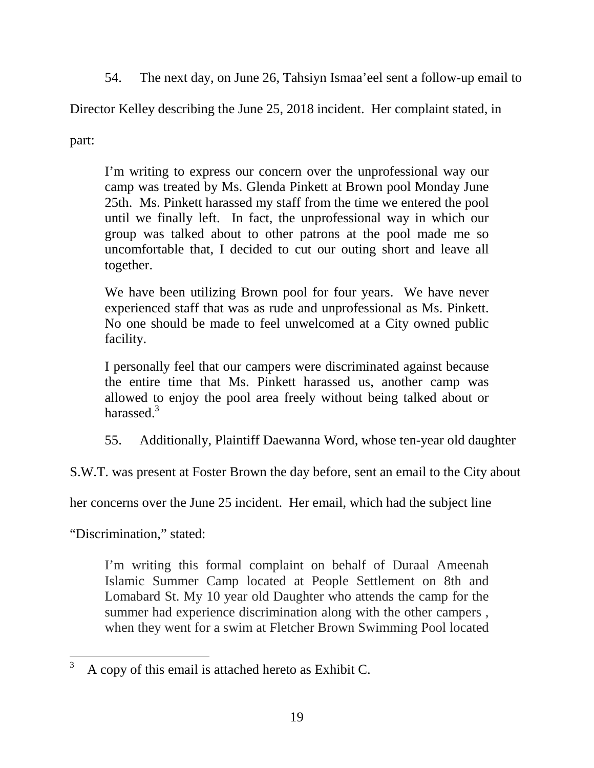54. The next day, on June 26, Tahsiyn Ismaa'eel sent a follow-up email to

Director Kelley describing the June 25, 2018 incident. Her complaint stated, in

part:

I'm writing to express our concern over the unprofessional way our camp was treated by Ms. Glenda Pinkett at Brown pool Monday June 25th. Ms. Pinkett harassed my staff from the time we entered the pool until we finally left. In fact, the unprofessional way in which our group was talked about to other patrons at the pool made me so uncomfortable that, I decided to cut our outing short and leave all together.

We have been utilizing Brown pool for four years. We have never experienced staff that was as rude and unprofessional as Ms. Pinkett. No one should be made to feel unwelcomed at a City owned public facility.

I personally feel that our campers were discriminated against because the entire time that Ms. Pinkett harassed us, another camp was allowed to enjoy the pool area freely without being talked about or harassed $3$ 

55. Additionally, Plaintiff Daewanna Word, whose ten-year old daughter

S.W.T. was present at Foster Brown the day before, sent an email to the City about

her concerns over the June 25 incident. Her email, which had the subject line

"Discrimination," stated:

I'm writing this formal complaint on behalf of Duraal Ameenah Islamic Summer Camp located at People Settlement on 8th and Lomabard St. My 10 year old Daughter who attends the camp for the summer had experience discrimination along with the other campers , when they went for a swim at Fletcher Brown Swimming Pool located

<sup>3</sup> A copy of this email is attached hereto as Exhibit C.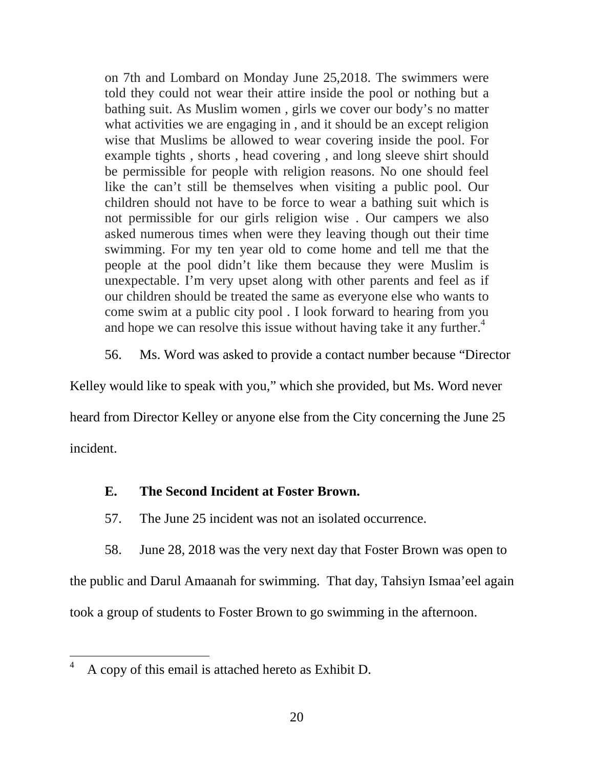on 7th and Lombard on Monday June 25,2018. The swimmers were told they could not wear their attire inside the pool or nothing but a bathing suit. As Muslim women , girls we cover our body's no matter what activities we are engaging in , and it should be an except religion wise that Muslims be allowed to wear covering inside the pool. For example tights , shorts , head covering , and long sleeve shirt should be permissible for people with religion reasons. No one should feel like the can't still be themselves when visiting a public pool. Our children should not have to be force to wear a bathing suit which is not permissible for our girls religion wise . Our campers we also asked numerous times when were they leaving though out their time swimming. For my ten year old to come home and tell me that the people at the pool didn't like them because they were Muslim is unexpectable. I'm very upset along with other parents and feel as if our children should be treated the same as everyone else who wants to come swim at a public city pool . I look forward to hearing from you and hope we can resolve this issue without having take it any further.<sup>4</sup>

56. Ms. Word was asked to provide a contact number because "Director

Kelley would like to speak with you," which she provided, but Ms. Word never heard from Director Kelley or anyone else from the City concerning the June 25

incident.

# **E. The Second Incident at Foster Brown.**

57. The June 25 incident was not an isolated occurrence.

58. June 28, 2018 was the very next day that Foster Brown was open to the public and Darul Amaanah for swimming. That day, Tahsiyn Ismaa'eel again took a group of students to Foster Brown to go swimming in the afternoon.

<sup>4</sup> A copy of this email is attached hereto as Exhibit D.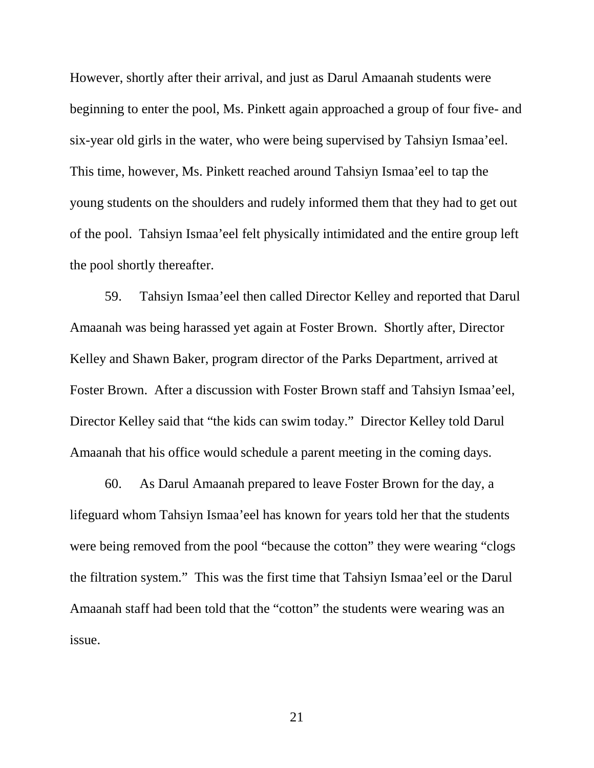However, shortly after their arrival, and just as Darul Amaanah students were beginning to enter the pool, Ms. Pinkett again approached a group of four five- and six-year old girls in the water, who were being supervised by Tahsiyn Ismaa'eel. This time, however, Ms. Pinkett reached around Tahsiyn Ismaa'eel to tap the young students on the shoulders and rudely informed them that they had to get out of the pool. Tahsiyn Ismaa'eel felt physically intimidated and the entire group left the pool shortly thereafter.

59. Tahsiyn Ismaa'eel then called Director Kelley and reported that Darul Amaanah was being harassed yet again at Foster Brown. Shortly after, Director Kelley and Shawn Baker, program director of the Parks Department, arrived at Foster Brown. After a discussion with Foster Brown staff and Tahsiyn Ismaa'eel, Director Kelley said that "the kids can swim today." Director Kelley told Darul Amaanah that his office would schedule a parent meeting in the coming days.

60. As Darul Amaanah prepared to leave Foster Brown for the day, a lifeguard whom Tahsiyn Ismaa'eel has known for years told her that the students were being removed from the pool "because the cotton" they were wearing "clogs the filtration system." This was the first time that Tahsiyn Ismaa'eel or the Darul Amaanah staff had been told that the "cotton" the students were wearing was an issue.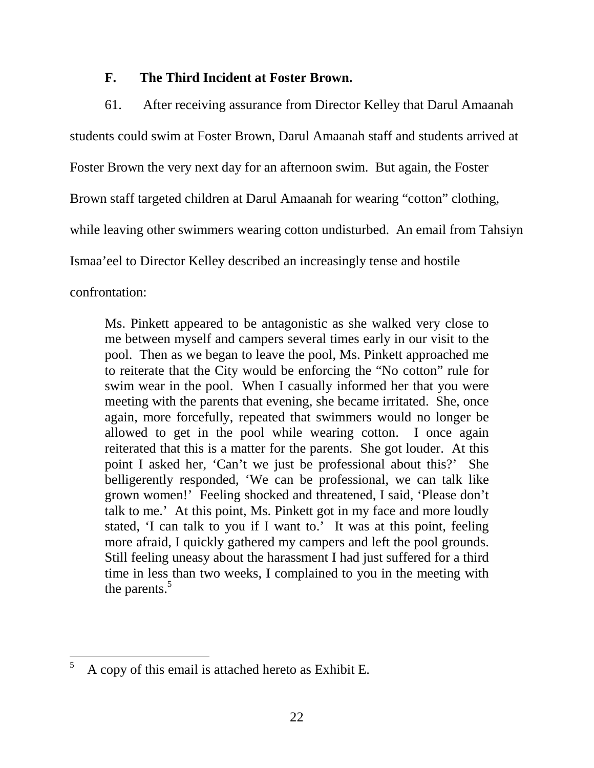### **F. The Third Incident at Foster Brown.**

61. After receiving assurance from Director Kelley that Darul Amaanah students could swim at Foster Brown, Darul Amaanah staff and students arrived at Foster Brown the very next day for an afternoon swim. But again, the Foster Brown staff targeted children at Darul Amaanah for wearing "cotton" clothing, while leaving other swimmers wearing cotton undisturbed. An email from Tahsiyn Ismaa'eel to Director Kelley described an increasingly tense and hostile confrontation:

Ms. Pinkett appeared to be antagonistic as she walked very close to me between myself and campers several times early in our visit to the pool. Then as we began to leave the pool, Ms. Pinkett approached me to reiterate that the City would be enforcing the "No cotton" rule for swim wear in the pool. When I casually informed her that you were meeting with the parents that evening, she became irritated. She, once again, more forcefully, repeated that swimmers would no longer be allowed to get in the pool while wearing cotton. I once again reiterated that this is a matter for the parents. She got louder. At this point I asked her, 'Can't we just be professional about this?' She belligerently responded, 'We can be professional, we can talk like grown women!' Feeling shocked and threatened, I said, 'Please don't talk to me.' At this point, Ms. Pinkett got in my face and more loudly stated, 'I can talk to you if I want to.' It was at this point, feeling more afraid, I quickly gathered my campers and left the pool grounds. Still feeling uneasy about the harassment I had just suffered for a third time in less than two weeks, I complained to you in the meeting with the parents.<sup>5</sup>

<sup>5</sup> A copy of this email is attached hereto as Exhibit E.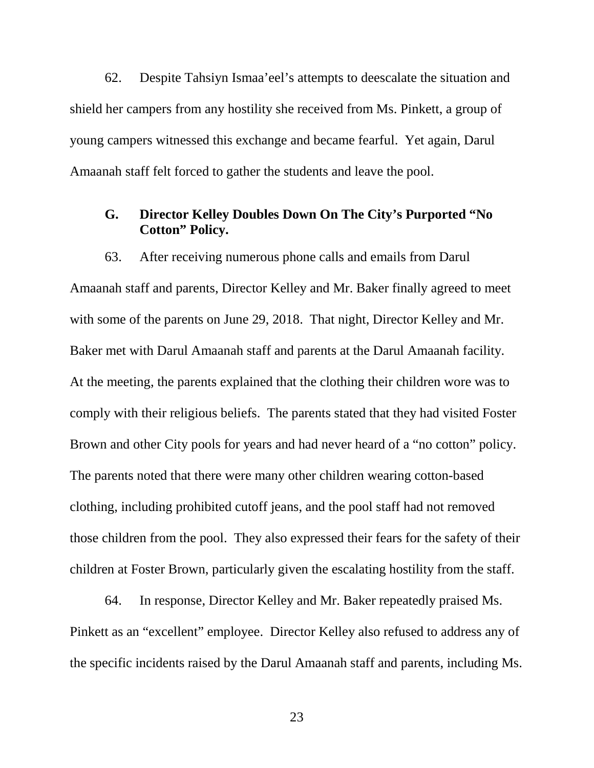62. Despite Tahsiyn Ismaa'eel's attempts to deescalate the situation and shield her campers from any hostility she received from Ms. Pinkett, a group of young campers witnessed this exchange and became fearful. Yet again, Darul Amaanah staff felt forced to gather the students and leave the pool.

### **G. Director Kelley Doubles Down On The City's Purported "No Cotton" Policy.**

63. After receiving numerous phone calls and emails from Darul Amaanah staff and parents, Director Kelley and Mr. Baker finally agreed to meet with some of the parents on June 29, 2018. That night, Director Kelley and Mr. Baker met with Darul Amaanah staff and parents at the Darul Amaanah facility. At the meeting, the parents explained that the clothing their children wore was to comply with their religious beliefs. The parents stated that they had visited Foster Brown and other City pools for years and had never heard of a "no cotton" policy. The parents noted that there were many other children wearing cotton-based clothing, including prohibited cutoff jeans, and the pool staff had not removed those children from the pool. They also expressed their fears for the safety of their children at Foster Brown, particularly given the escalating hostility from the staff.

64. In response, Director Kelley and Mr. Baker repeatedly praised Ms. Pinkett as an "excellent" employee. Director Kelley also refused to address any of the specific incidents raised by the Darul Amaanah staff and parents, including Ms.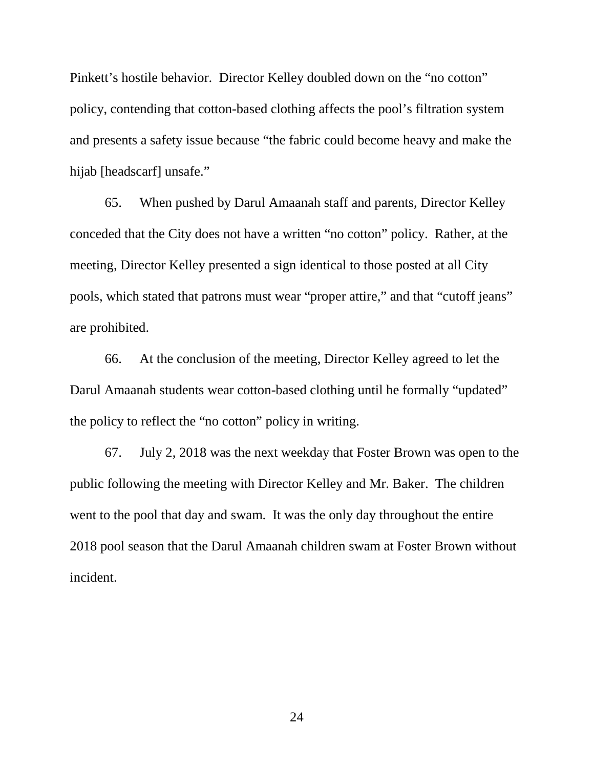Pinkett's hostile behavior. Director Kelley doubled down on the "no cotton" policy, contending that cotton-based clothing affects the pool's filtration system and presents a safety issue because "the fabric could become heavy and make the hijab [headscarf] unsafe."

65. When pushed by Darul Amaanah staff and parents, Director Kelley conceded that the City does not have a written "no cotton" policy. Rather, at the meeting, Director Kelley presented a sign identical to those posted at all City pools, which stated that patrons must wear "proper attire," and that "cutoff jeans" are prohibited.

66. At the conclusion of the meeting, Director Kelley agreed to let the Darul Amaanah students wear cotton-based clothing until he formally "updated" the policy to reflect the "no cotton" policy in writing.

67. July 2, 2018 was the next weekday that Foster Brown was open to the public following the meeting with Director Kelley and Mr. Baker. The children went to the pool that day and swam. It was the only day throughout the entire 2018 pool season that the Darul Amaanah children swam at Foster Brown without incident.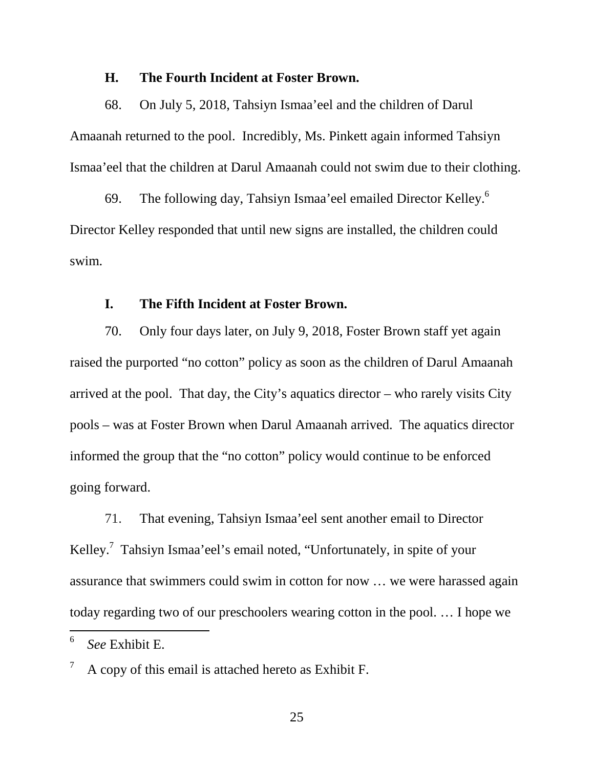#### **H. The Fourth Incident at Foster Brown.**

68. On July 5, 2018, Tahsiyn Ismaa'eel and the children of Darul Amaanah returned to the pool. Incredibly, Ms. Pinkett again informed Tahsiyn Ismaa'eel that the children at Darul Amaanah could not swim due to their clothing.

69. The following day, Tahsiyn Ismaa'eel emailed Director Kelley.<sup>6</sup> Director Kelley responded that until new signs are installed, the children could swim.

#### **I. The Fifth Incident at Foster Brown.**

70. Only four days later, on July 9, 2018, Foster Brown staff yet again raised the purported "no cotton" policy as soon as the children of Darul Amaanah arrived at the pool. That day, the City's aquatics director – who rarely visits City pools – was at Foster Brown when Darul Amaanah arrived. The aquatics director informed the group that the "no cotton" policy would continue to be enforced going forward.

71. That evening, Tahsiyn Ismaa'eel sent another email to Director Kelley.<sup>7</sup> Tahsiyn Ismaa'eel's email noted, "Unfortunately, in spite of your assurance that swimmers could swim in cotton for now … we were harassed again today regarding two of our preschoolers wearing cotton in the pool. … I hope we

<sup>6</sup> *See* Exhibit E.

<sup>7</sup> A copy of this email is attached hereto as Exhibit F.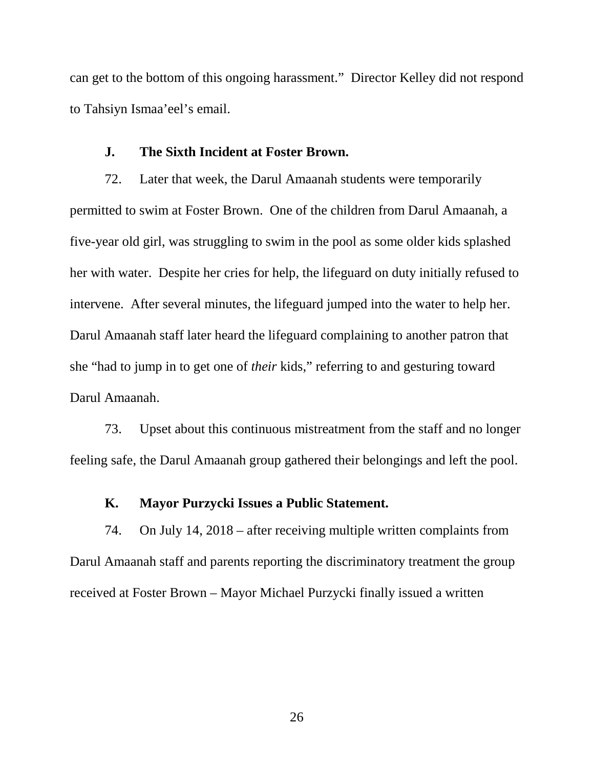can get to the bottom of this ongoing harassment." Director Kelley did not respond to Tahsiyn Ismaa'eel's email.

### **J. The Sixth Incident at Foster Brown.**

72. Later that week, the Darul Amaanah students were temporarily permitted to swim at Foster Brown. One of the children from Darul Amaanah, a five-year old girl, was struggling to swim in the pool as some older kids splashed her with water. Despite her cries for help, the lifeguard on duty initially refused to intervene. After several minutes, the lifeguard jumped into the water to help her. Darul Amaanah staff later heard the lifeguard complaining to another patron that she "had to jump in to get one of *their* kids," referring to and gesturing toward Darul Amaanah.

73. Upset about this continuous mistreatment from the staff and no longer feeling safe, the Darul Amaanah group gathered their belongings and left the pool.

### **K. Mayor Purzycki Issues a Public Statement.**

74. On July 14, 2018 – after receiving multiple written complaints from Darul Amaanah staff and parents reporting the discriminatory treatment the group received at Foster Brown – Mayor Michael Purzycki finally issued a written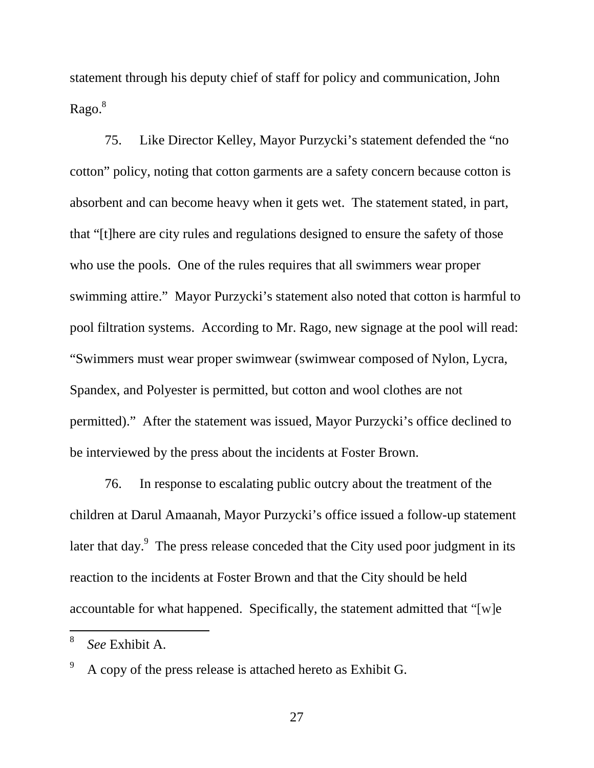statement through his deputy chief of staff for policy and communication, John  $Rago.<sup>8</sup>$ 

75. Like Director Kelley, Mayor Purzycki's statement defended the "no cotton" policy, noting that cotton garments are a safety concern because cotton is absorbent and can become heavy when it gets wet. The statement stated, in part, that "[t]here are city rules and regulations designed to ensure the safety of those who use the pools. One of the rules requires that all swimmers wear proper swimming attire." Mayor Purzycki's statement also noted that cotton is harmful to pool filtration systems. According to Mr. Rago, new signage at the pool will read: "Swimmers must wear proper swimwear (swimwear composed of Nylon, Lycra, Spandex, and Polyester is permitted, but cotton and wool clothes are not permitted)." After the statement was issued, Mayor Purzycki's office declined to be interviewed by the press about the incidents at Foster Brown.

76. In response to escalating public outcry about the treatment of the children at Darul Amaanah, Mayor Purzycki's office issued a follow-up statement later that day. $9$  The press release conceded that the City used poor judgment in its reaction to the incidents at Foster Brown and that the City should be held accountable for what happened. Specifically, the statement admitted that "[w]e

<sup>8</sup> *See* Exhibit A.

<sup>9</sup> A copy of the press release is attached hereto as Exhibit G.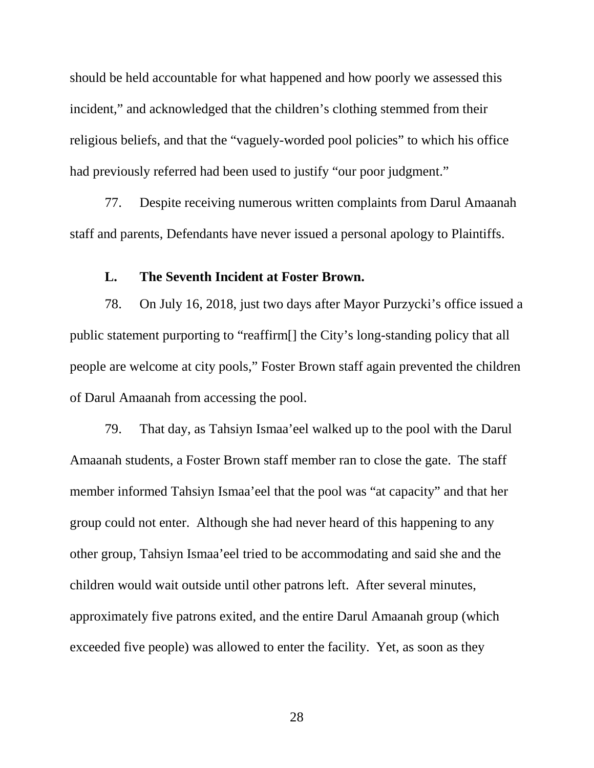should be held accountable for what happened and how poorly we assessed this incident," and acknowledged that the children's clothing stemmed from their religious beliefs, and that the "vaguely-worded pool policies" to which his office had previously referred had been used to justify "our poor judgment."

77. Despite receiving numerous written complaints from Darul Amaanah staff and parents, Defendants have never issued a personal apology to Plaintiffs.

#### **L. The Seventh Incident at Foster Brown.**

78. On July 16, 2018, just two days after Mayor Purzycki's office issued a public statement purporting to "reaffirm[] the City's long-standing policy that all people are welcome at city pools," Foster Brown staff again prevented the children of Darul Amaanah from accessing the pool.

79. That day, as Tahsiyn Ismaa'eel walked up to the pool with the Darul Amaanah students, a Foster Brown staff member ran to close the gate. The staff member informed Tahsiyn Ismaa'eel that the pool was "at capacity" and that her group could not enter. Although she had never heard of this happening to any other group, Tahsiyn Ismaa'eel tried to be accommodating and said she and the children would wait outside until other patrons left. After several minutes, approximately five patrons exited, and the entire Darul Amaanah group (which exceeded five people) was allowed to enter the facility. Yet, as soon as they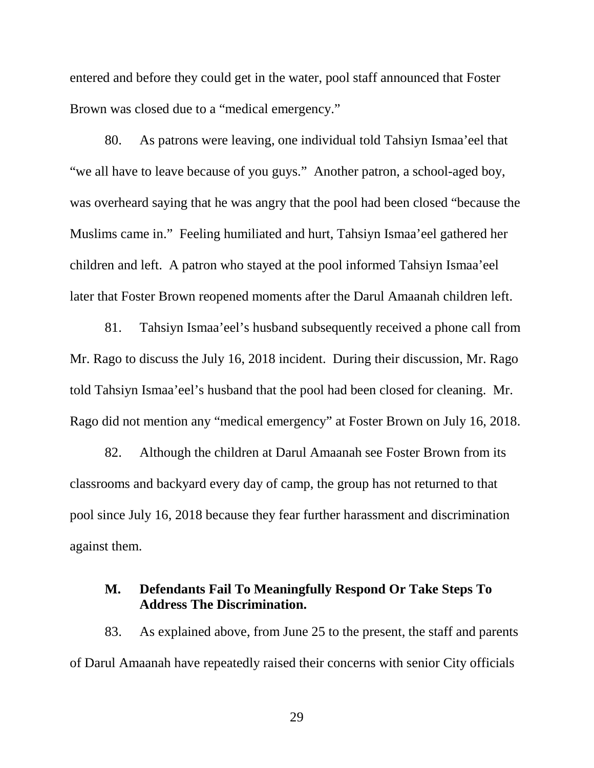entered and before they could get in the water, pool staff announced that Foster Brown was closed due to a "medical emergency."

80. As patrons were leaving, one individual told Tahsiyn Ismaa'eel that "we all have to leave because of you guys." Another patron, a school-aged boy, was overheard saying that he was angry that the pool had been closed "because the Muslims came in." Feeling humiliated and hurt, Tahsiyn Ismaa'eel gathered her children and left. A patron who stayed at the pool informed Tahsiyn Ismaa'eel later that Foster Brown reopened moments after the Darul Amaanah children left.

81. Tahsiyn Ismaa'eel's husband subsequently received a phone call from Mr. Rago to discuss the July 16, 2018 incident. During their discussion, Mr. Rago told Tahsiyn Ismaa'eel's husband that the pool had been closed for cleaning. Mr. Rago did not mention any "medical emergency" at Foster Brown on July 16, 2018.

82. Although the children at Darul Amaanah see Foster Brown from its classrooms and backyard every day of camp, the group has not returned to that pool since July 16, 2018 because they fear further harassment and discrimination against them.

## **M. Defendants Fail To Meaningfully Respond Or Take Steps To Address The Discrimination.**

83. As explained above, from June 25 to the present, the staff and parents of Darul Amaanah have repeatedly raised their concerns with senior City officials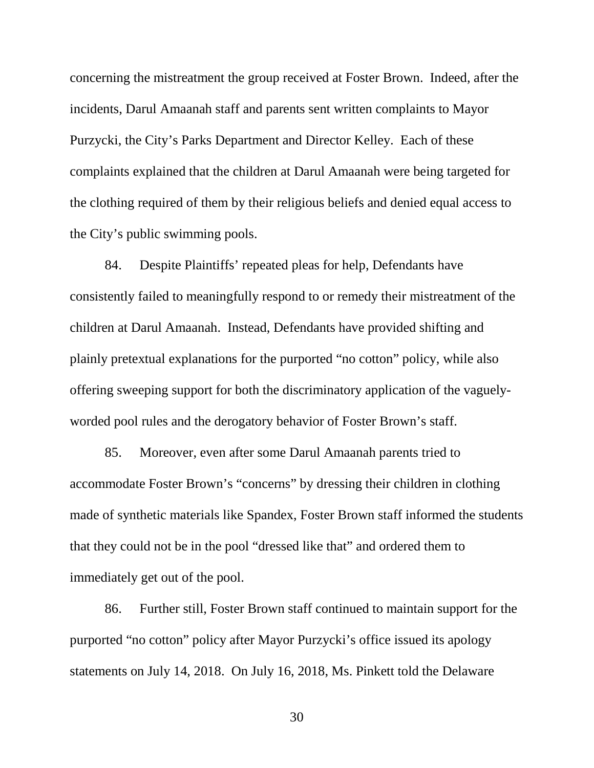concerning the mistreatment the group received at Foster Brown. Indeed, after the incidents, Darul Amaanah staff and parents sent written complaints to Mayor Purzycki, the City's Parks Department and Director Kelley. Each of these complaints explained that the children at Darul Amaanah were being targeted for the clothing required of them by their religious beliefs and denied equal access to the City's public swimming pools.

84. Despite Plaintiffs' repeated pleas for help, Defendants have consistently failed to meaningfully respond to or remedy their mistreatment of the children at Darul Amaanah. Instead, Defendants have provided shifting and plainly pretextual explanations for the purported "no cotton" policy, while also offering sweeping support for both the discriminatory application of the vaguelyworded pool rules and the derogatory behavior of Foster Brown's staff.

85. Moreover, even after some Darul Amaanah parents tried to accommodate Foster Brown's "concerns" by dressing their children in clothing made of synthetic materials like Spandex, Foster Brown staff informed the students that they could not be in the pool "dressed like that" and ordered them to immediately get out of the pool.

86. Further still, Foster Brown staff continued to maintain support for the purported "no cotton" policy after Mayor Purzycki's office issued its apology statements on July 14, 2018. On July 16, 2018, Ms. Pinkett told the Delaware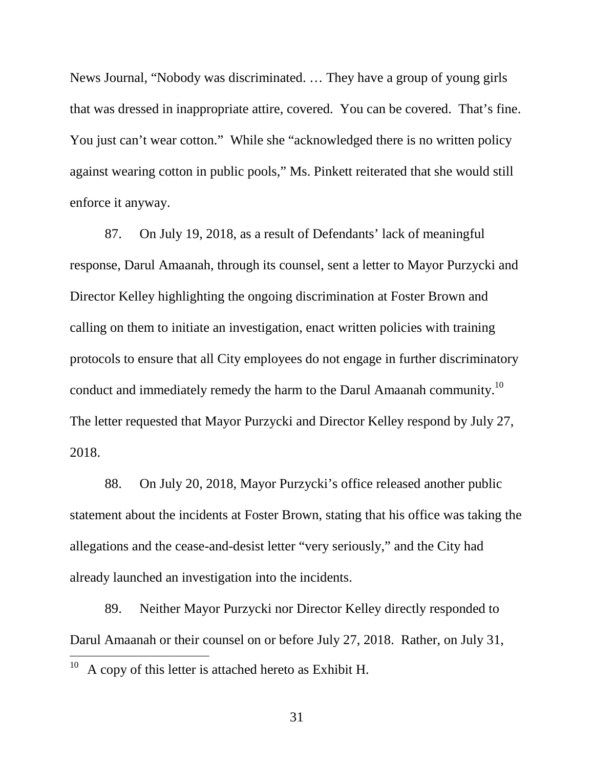News Journal, "Nobody was discriminated. … They have a group of young girls that was dressed in inappropriate attire, covered. You can be covered. That's fine. You just can't wear cotton." While she "acknowledged there is no written policy against wearing cotton in public pools," Ms. Pinkett reiterated that she would still enforce it anyway.

87. On July 19, 2018, as a result of Defendants' lack of meaningful response, Darul Amaanah, through its counsel, sent a letter to Mayor Purzycki and Director Kelley highlighting the ongoing discrimination at Foster Brown and calling on them to initiate an investigation, enact written policies with training protocols to ensure that all City employees do not engage in further discriminatory conduct and immediately remedy the harm to the Darul Amaanah community.<sup>10</sup> The letter requested that Mayor Purzycki and Director Kelley respond by July 27, 2018.

88. On July 20, 2018, Mayor Purzycki's office released another public statement about the incidents at Foster Brown, stating that his office was taking the allegations and the cease-and-desist letter "very seriously," and the City had already launched an investigation into the incidents.

89. Neither Mayor Purzycki nor Director Kelley directly responded to Darul Amaanah or their counsel on or before July 27, 2018. Rather, on July 31,

 $10$  A copy of this letter is attached hereto as Exhibit H.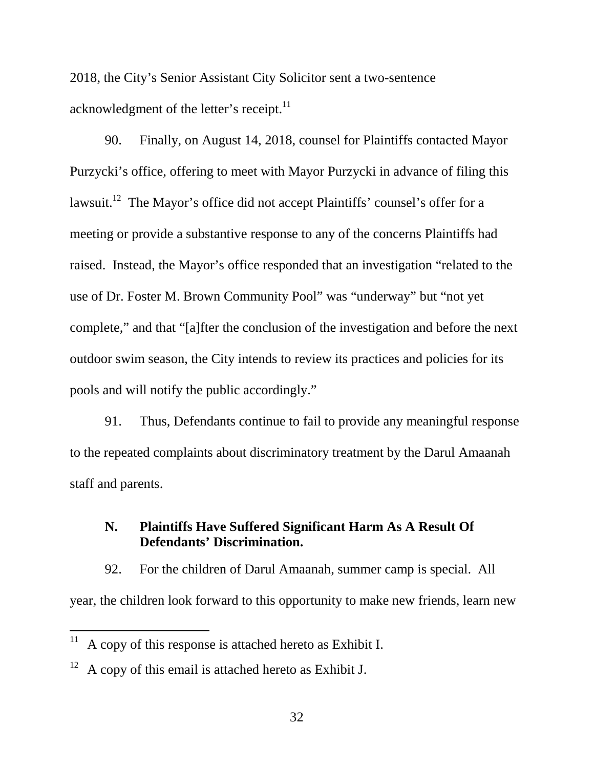2018, the City's Senior Assistant City Solicitor sent a two-sentence acknowledgment of the letter's receipt.<sup>11</sup>

90. Finally, on August 14, 2018, counsel for Plaintiffs contacted Mayor Purzycki's office, offering to meet with Mayor Purzycki in advance of filing this lawsuit.<sup>12</sup> The Mayor's office did not accept Plaintiffs' counsel's offer for a meeting or provide a substantive response to any of the concerns Plaintiffs had raised. Instead, the Mayor's office responded that an investigation "related to the use of Dr. Foster M. Brown Community Pool" was "underway" but "not yet complete," and that "[a]fter the conclusion of the investigation and before the next outdoor swim season, the City intends to review its practices and policies for its pools and will notify the public accordingly."

91. Thus, Defendants continue to fail to provide any meaningful response to the repeated complaints about discriminatory treatment by the Darul Amaanah staff and parents.

### **N. Plaintiffs Have Suffered Significant Harm As A Result Of Defendants' Discrimination.**

92. For the children of Darul Amaanah, summer camp is special. All year, the children look forward to this opportunity to make new friends, learn new

 $11$  A copy of this response is attached hereto as Exhibit I.

<sup>12</sup> A copy of this email is attached hereto as Exhibit J.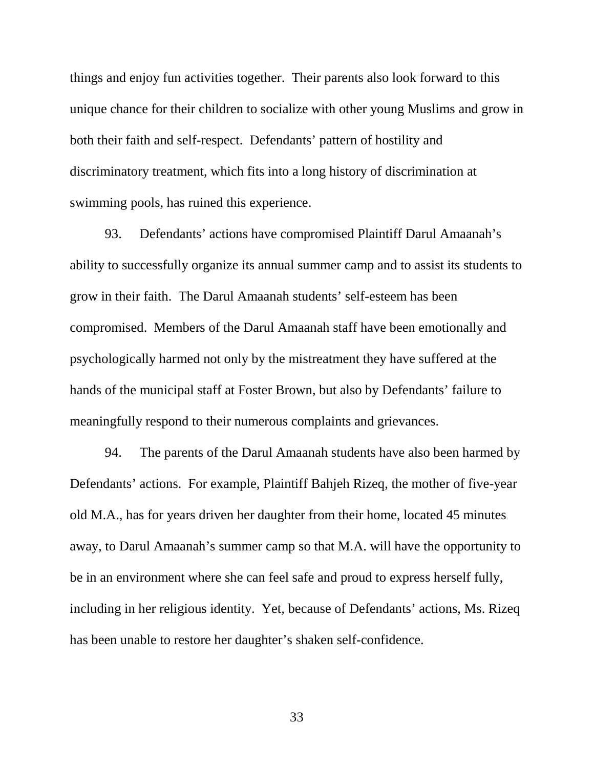things and enjoy fun activities together. Their parents also look forward to this unique chance for their children to socialize with other young Muslims and grow in both their faith and self-respect. Defendants' pattern of hostility and discriminatory treatment, which fits into a long history of discrimination at swimming pools, has ruined this experience.

93. Defendants' actions have compromised Plaintiff Darul Amaanah's ability to successfully organize its annual summer camp and to assist its students to grow in their faith. The Darul Amaanah students' self-esteem has been compromised. Members of the Darul Amaanah staff have been emotionally and psychologically harmed not only by the mistreatment they have suffered at the hands of the municipal staff at Foster Brown, but also by Defendants' failure to meaningfully respond to their numerous complaints and grievances.

94. The parents of the Darul Amaanah students have also been harmed by Defendants' actions. For example, Plaintiff Bahjeh Rizeq, the mother of five-year old M.A., has for years driven her daughter from their home, located 45 minutes away, to Darul Amaanah's summer camp so that M.A. will have the opportunity to be in an environment where she can feel safe and proud to express herself fully, including in her religious identity. Yet, because of Defendants' actions, Ms. Rizeq has been unable to restore her daughter's shaken self-confidence.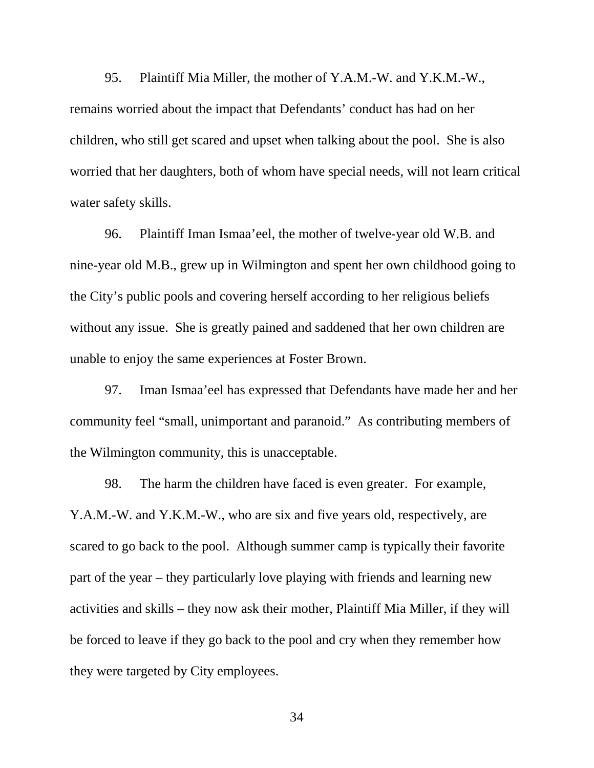95. Plaintiff Mia Miller, the mother of Y.A.M.-W. and Y.K.M.-W., remains worried about the impact that Defendants' conduct has had on her children, who still get scared and upset when talking about the pool. She is also worried that her daughters, both of whom have special needs, will not learn critical water safety skills.

96. Plaintiff Iman Ismaa'eel, the mother of twelve-year old W.B. and nine-year old M.B., grew up in Wilmington and spent her own childhood going to the City's public pools and covering herself according to her religious beliefs without any issue. She is greatly pained and saddened that her own children are unable to enjoy the same experiences at Foster Brown.

97. Iman Ismaa'eel has expressed that Defendants have made her and her community feel "small, unimportant and paranoid." As contributing members of the Wilmington community, this is unacceptable.

98. The harm the children have faced is even greater. For example, Y.A.M.-W. and Y.K.M.-W., who are six and five years old, respectively, are scared to go back to the pool. Although summer camp is typically their favorite part of the year – they particularly love playing with friends and learning new activities and skills – they now ask their mother, Plaintiff Mia Miller, if they will be forced to leave if they go back to the pool and cry when they remember how they were targeted by City employees.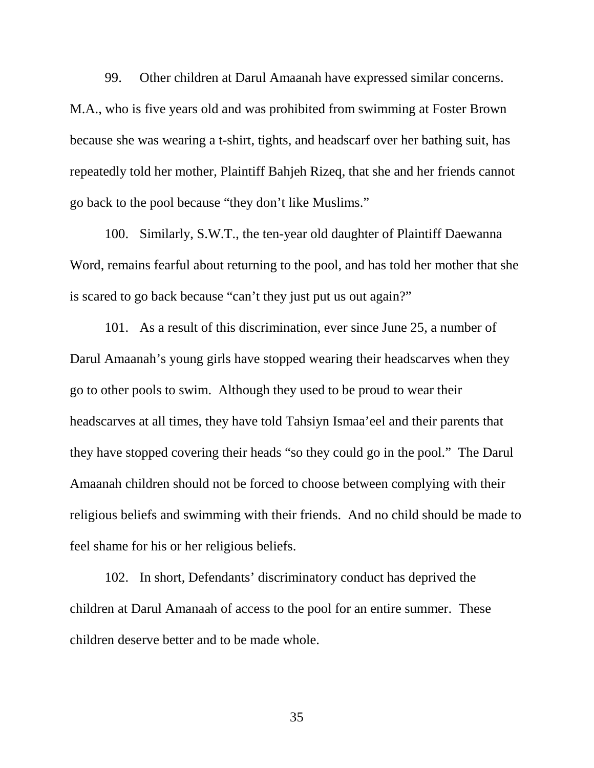99. Other children at Darul Amaanah have expressed similar concerns. M.A., who is five years old and was prohibited from swimming at Foster Brown because she was wearing a t-shirt, tights, and headscarf over her bathing suit, has repeatedly told her mother, Plaintiff Bahjeh Rizeq, that she and her friends cannot go back to the pool because "they don't like Muslims."

100. Similarly, S.W.T., the ten-year old daughter of Plaintiff Daewanna Word, remains fearful about returning to the pool, and has told her mother that she is scared to go back because "can't they just put us out again?"

101. As a result of this discrimination, ever since June 25, a number of Darul Amaanah's young girls have stopped wearing their headscarves when they go to other pools to swim. Although they used to be proud to wear their headscarves at all times, they have told Tahsiyn Ismaa'eel and their parents that they have stopped covering their heads "so they could go in the pool." The Darul Amaanah children should not be forced to choose between complying with their religious beliefs and swimming with their friends. And no child should be made to feel shame for his or her religious beliefs.

102. In short, Defendants' discriminatory conduct has deprived the children at Darul Amanaah of access to the pool for an entire summer. These children deserve better and to be made whole.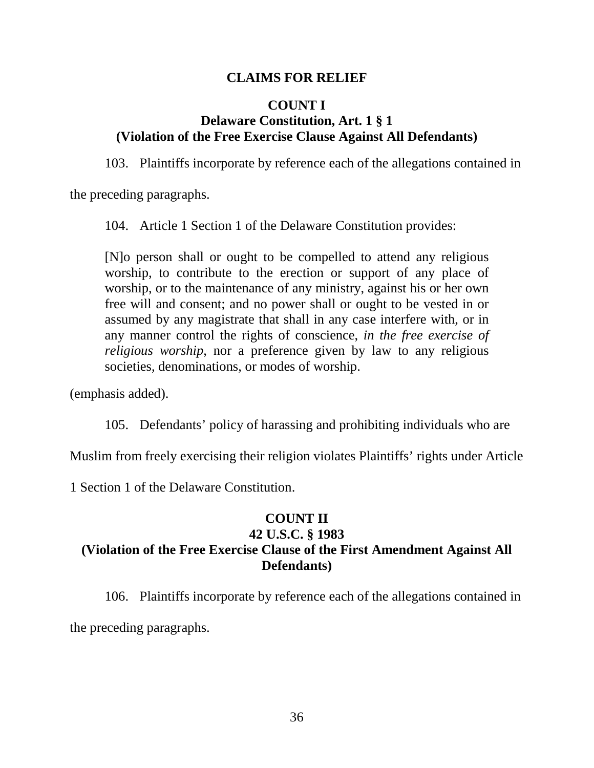### **CLAIMS FOR RELIEF**

### **COUNT I Delaware Constitution, Art. 1 § 1 (Violation of the Free Exercise Clause Against All Defendants)**

103. Plaintiffs incorporate by reference each of the allegations contained in

the preceding paragraphs.

104. Article 1 Section 1 of the Delaware Constitution provides:

[N]o person shall or ought to be compelled to attend any religious worship, to contribute to the erection or support of any place of worship, or to the maintenance of any ministry, against his or her own free will and consent; and no power shall or ought to be vested in or assumed by any magistrate that shall in any case interfere with, or in any manner control the rights of conscience, *in the free exercise of religious worship*, nor a preference given by law to any religious societies, denominations, or modes of worship.

(emphasis added).

105. Defendants' policy of harassing and prohibiting individuals who are

Muslim from freely exercising their religion violates Plaintiffs' rights under Article

1 Section 1 of the Delaware Constitution.

## **COUNT II 42 U.S.C. § 1983 (Violation of the Free Exercise Clause of the First Amendment Against All Defendants)**

106. Plaintiffs incorporate by reference each of the allegations contained in the preceding paragraphs.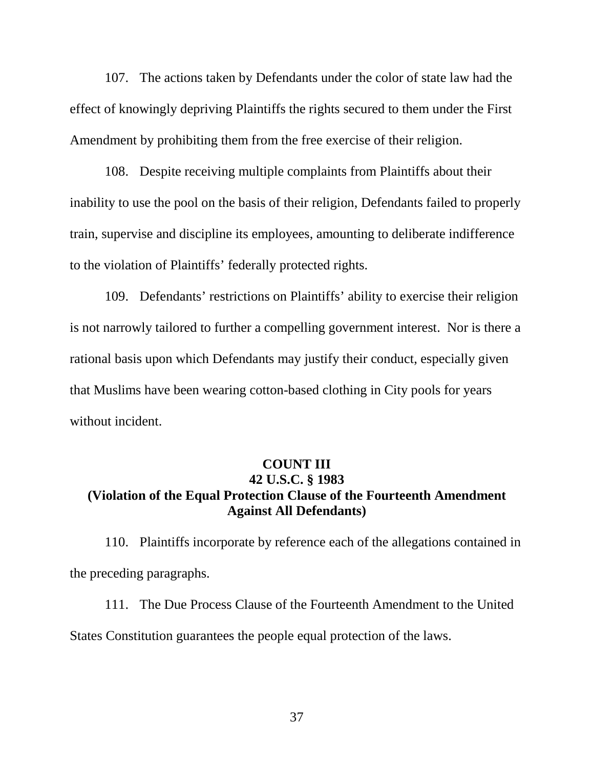107. The actions taken by Defendants under the color of state law had the effect of knowingly depriving Plaintiffs the rights secured to them under the First Amendment by prohibiting them from the free exercise of their religion.

108. Despite receiving multiple complaints from Plaintiffs about their inability to use the pool on the basis of their religion, Defendants failed to properly train, supervise and discipline its employees, amounting to deliberate indifference to the violation of Plaintiffs' federally protected rights.

109. Defendants' restrictions on Plaintiffs' ability to exercise their religion is not narrowly tailored to further a compelling government interest. Nor is there a rational basis upon which Defendants may justify their conduct, especially given that Muslims have been wearing cotton-based clothing in City pools for years without incident.

### **COUNT III**

## **42 U.S.C. § 1983 (Violation of the Equal Protection Clause of the Fourteenth Amendment Against All Defendants)**

110. Plaintiffs incorporate by reference each of the allegations contained in the preceding paragraphs.

111. The Due Process Clause of the Fourteenth Amendment to the United States Constitution guarantees the people equal protection of the laws.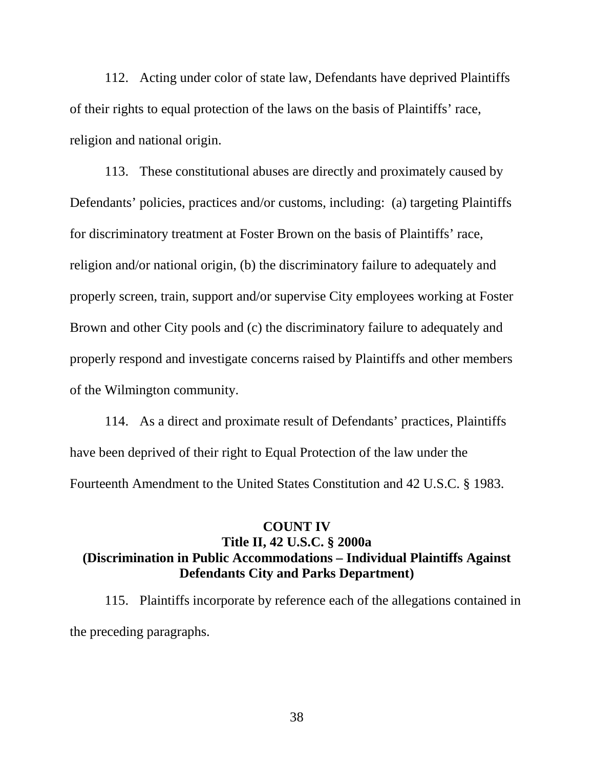112. Acting under color of state law, Defendants have deprived Plaintiffs of their rights to equal protection of the laws on the basis of Plaintiffs' race, religion and national origin.

113. These constitutional abuses are directly and proximately caused by Defendants' policies, practices and/or customs, including: (a) targeting Plaintiffs for discriminatory treatment at Foster Brown on the basis of Plaintiffs' race, religion and/or national origin, (b) the discriminatory failure to adequately and properly screen, train, support and/or supervise City employees working at Foster Brown and other City pools and (c) the discriminatory failure to adequately and properly respond and investigate concerns raised by Plaintiffs and other members of the Wilmington community.

114. As a direct and proximate result of Defendants' practices, Plaintiffs have been deprived of their right to Equal Protection of the law under the Fourteenth Amendment to the United States Constitution and 42 U.S.C. § 1983.

## **COUNT IV Title II, 42 U.S.C. § 2000a (Discrimination in Public Accommodations – Individual Plaintiffs Against Defendants City and Parks Department)**

115. Plaintiffs incorporate by reference each of the allegations contained in the preceding paragraphs.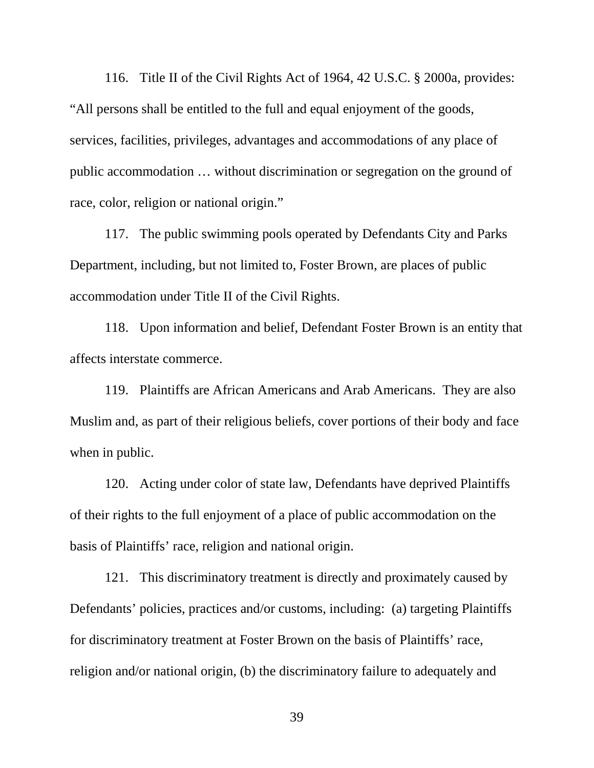116. Title II of the Civil Rights Act of 1964, 42 U.S.C. § 2000a, provides: "All persons shall be entitled to the full and equal enjoyment of the goods, services, facilities, privileges, advantages and accommodations of any place of public accommodation … without discrimination or segregation on the ground of race, color, religion or national origin."

117. The public swimming pools operated by Defendants City and Parks Department, including, but not limited to, Foster Brown, are places of public accommodation under Title II of the Civil Rights.

118. Upon information and belief, Defendant Foster Brown is an entity that affects interstate commerce.

119. Plaintiffs are African Americans and Arab Americans. They are also Muslim and, as part of their religious beliefs, cover portions of their body and face when in public.

120. Acting under color of state law, Defendants have deprived Plaintiffs of their rights to the full enjoyment of a place of public accommodation on the basis of Plaintiffs' race, religion and national origin.

121. This discriminatory treatment is directly and proximately caused by Defendants' policies, practices and/or customs, including: (a) targeting Plaintiffs for discriminatory treatment at Foster Brown on the basis of Plaintiffs' race, religion and/or national origin, (b) the discriminatory failure to adequately and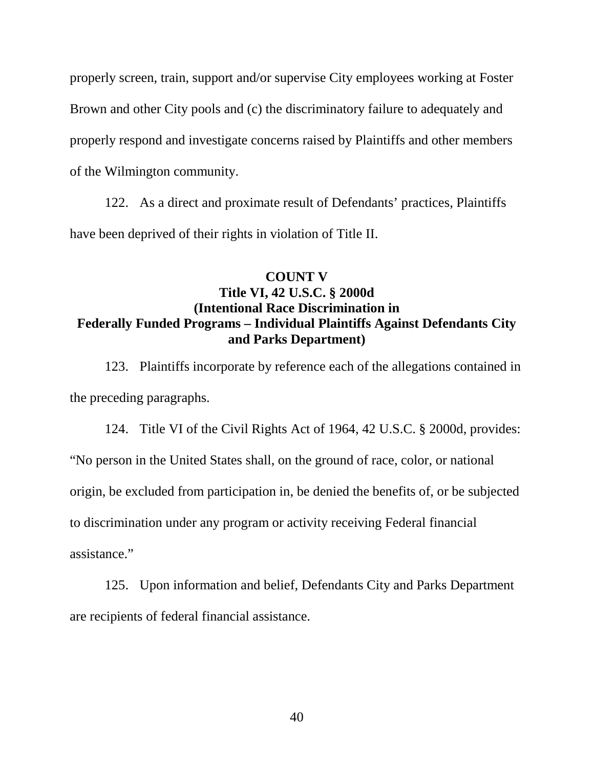properly screen, train, support and/or supervise City employees working at Foster Brown and other City pools and (c) the discriminatory failure to adequately and properly respond and investigate concerns raised by Plaintiffs and other members of the Wilmington community.

122. As a direct and proximate result of Defendants' practices, Plaintiffs have been deprived of their rights in violation of Title II.

## **COUNT V Title VI, 42 U.S.C. § 2000d (Intentional Race Discrimination in Federally Funded Programs – Individual Plaintiffs Against Defendants City and Parks Department)**

123. Plaintiffs incorporate by reference each of the allegations contained in the preceding paragraphs.

124. Title VI of the Civil Rights Act of 1964, 42 U.S.C. § 2000d, provides: "No person in the United States shall, on the ground of race, color, or national origin, be excluded from participation in, be denied the benefits of, or be subjected to discrimination under any program or activity receiving Federal financial assistance."

125. Upon information and belief, Defendants City and Parks Department are recipients of federal financial assistance.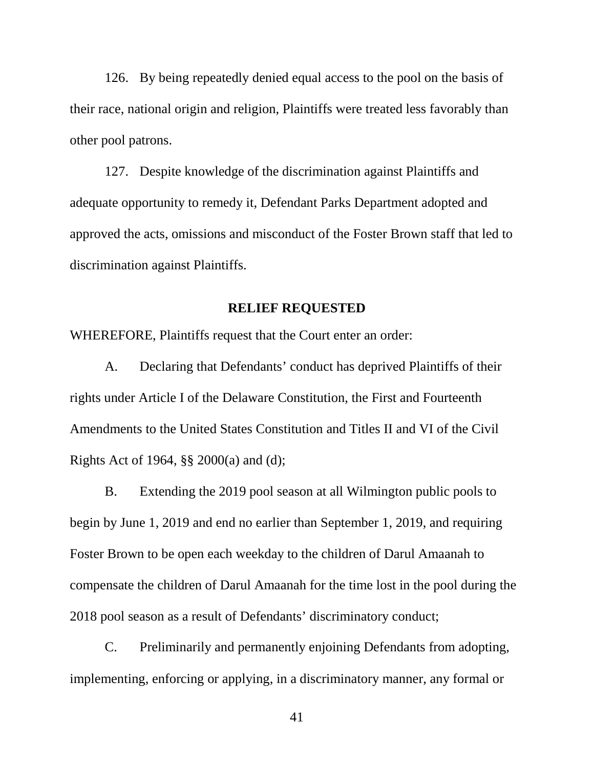126. By being repeatedly denied equal access to the pool on the basis of their race, national origin and religion, Plaintiffs were treated less favorably than other pool patrons.

127. Despite knowledge of the discrimination against Plaintiffs and adequate opportunity to remedy it, Defendant Parks Department adopted and approved the acts, omissions and misconduct of the Foster Brown staff that led to discrimination against Plaintiffs.

#### **RELIEF REQUESTED**

WHEREFORE, Plaintiffs request that the Court enter an order:

A. Declaring that Defendants' conduct has deprived Plaintiffs of their rights under Article I of the Delaware Constitution, the First and Fourteenth Amendments to the United States Constitution and Titles II and VI of the Civil Rights Act of 1964, §§ 2000(a) and (d);

B. Extending the 2019 pool season at all Wilmington public pools to begin by June 1, 2019 and end no earlier than September 1, 2019, and requiring Foster Brown to be open each weekday to the children of Darul Amaanah to compensate the children of Darul Amaanah for the time lost in the pool during the 2018 pool season as a result of Defendants' discriminatory conduct;

C. Preliminarily and permanently enjoining Defendants from adopting, implementing, enforcing or applying, in a discriminatory manner, any formal or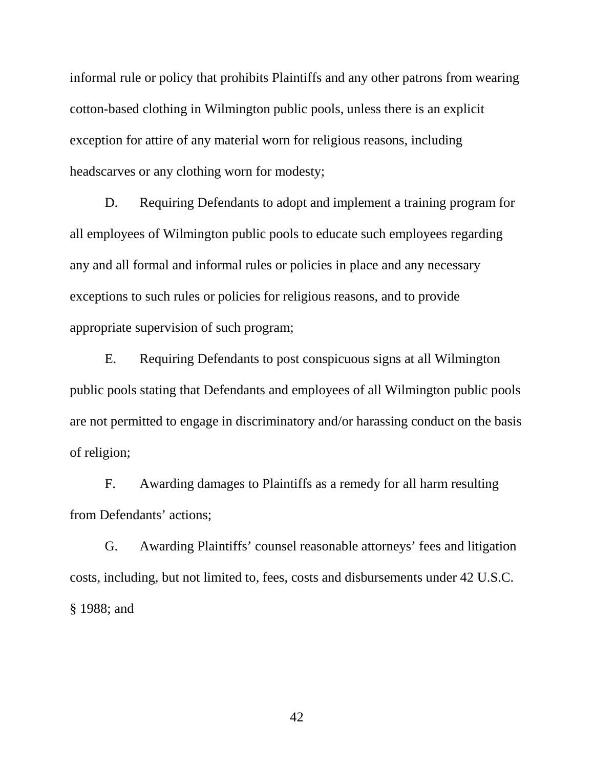informal rule or policy that prohibits Plaintiffs and any other patrons from wearing cotton-based clothing in Wilmington public pools, unless there is an explicit exception for attire of any material worn for religious reasons, including headscarves or any clothing worn for modesty;

D. Requiring Defendants to adopt and implement a training program for all employees of Wilmington public pools to educate such employees regarding any and all formal and informal rules or policies in place and any necessary exceptions to such rules or policies for religious reasons, and to provide appropriate supervision of such program;

E. Requiring Defendants to post conspicuous signs at all Wilmington public pools stating that Defendants and employees of all Wilmington public pools are not permitted to engage in discriminatory and/or harassing conduct on the basis of religion;

F. Awarding damages to Plaintiffs as a remedy for all harm resulting from Defendants' actions;

G. Awarding Plaintiffs' counsel reasonable attorneys' fees and litigation costs, including, but not limited to, fees, costs and disbursements under 42 U.S.C. § 1988; and